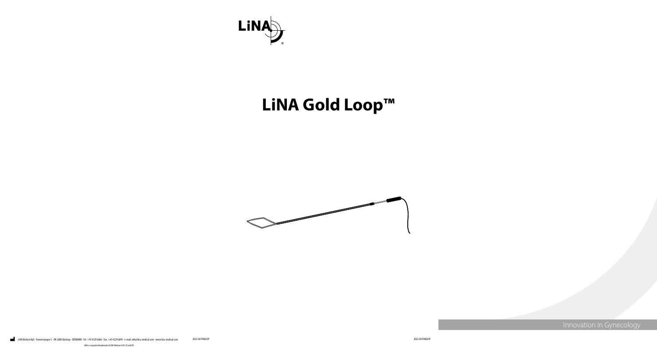



Innovation in Gynecology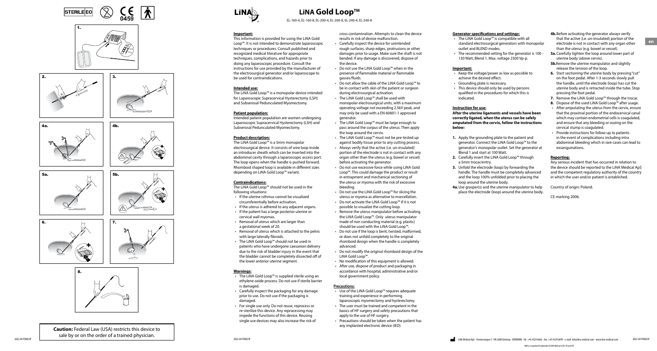EL-160-4, EL-160-8, EL-200-4, EL-200-8, EL-240-4, EL-240-8

#### **Important:**

This information is provided for using the LiNA Gold Loop™. It is not intended to demonstrate laparoscopic techniques or procedures. Consult published and recognized medical literature for appropriate techniques, complications, and hazards prior to doing any laparoscopic procedure. Consult the instructions for use provided by the manufacturer of the electrosurgical generator and/or laparoscope to be used for contraindications.

#### **Intended use:**

The LiNA Gold Loop™ is a monopolar device intended for Laparoscopic Supracervical Hysterectomy (LSH) and Subserosal Pedunculated Myomectomy.

#### **Patient population:**

Intended patient population are women undergoing Laparoscopic Supracervical Hysterectomy (LSH) and Subserosal Pedunculated Myomectomy.

#### **Product description:**

The LiNA Gold Loop™ is a 5mm monopolar electrosurgical device. It consists of wire loop inside an introducer sheath which can be inserted into the abdominal cavity through a laparoscopic access port. The loop opens when the handle is pushed forward. Rhomboid shaped loop is available in different sizes depending on LiNA Gold Loop™ variant.

#### **Contraindications:**

The LiNA Gold Loop™ should not be used in the following situations:

- If the uterine isthmus cannot be visualized circumferentially before activation.
- If the uterus is adhered to any adjacent organs.
- If the patient has a large posterior uterine or cervical wall myomas.
- Removal of uterus which are larger than a gestational week of 20.
- Removal of uterus which is attached to the pelvis with large laterally fibroids.
- The LiNA Gold Loop™ should not be used in patients who have undergone caesarean delivery due to the risk of bladder injury in the event that the bladder cannot be completely dissected off of the lower anterior uterine segment.

#### **Warnings:**

- The LiNA Gold Loop™ is supplied sterile using an ethylene oxide process. Do not use if sterile barrier is damaged.
- Carefully inspect the packaging for any damage prior to use. Do not use if the packaging is damaged.
- For single use only. Do not reuse, reprocess or re-sterilize this device. Any reprocessing may impede the functions of this device. Reusing single use devices may also increase the risk of

cross contamination. Attempts to clean the device results in risk of device malfunction.

- Carefully inspect the device for unintended rough surfaces, sharp edges, protrusions or other damages prior to usage. Make sure the shaft is not bended. If any damage is discovered, dispose of the device.
- Do not use the LiNA Gold Loop™ when in the presence of flammable material or flammable gasses/fluids.
- Do not allow the cable of the LiNA Gold Loop™ to be in contact with skin of the patient or surgeon during electrosurgical activation.
- The LiNA Gold Loop™ shall be used with monopolar electrosurgical units, with a maximum operating voltage not exceeding 2.5kV peak, and may only be used with a EN-60601-1 approved generator.
- The LiNA Gold Loop™ must be large enough to pass around the corpus of the uterus. Then apply the loop around the cervix.
- The LiNA Gold Loop™ must not be pre-tested up against bodily tissue prior to any cutting process.
- Always verify that the active (i.e. un-insulated) portion of the electrode is not in contact with any organ other than the uterus (e.g. bowel or vessel) before activating the generator.
- Do not use excessive force while using LiNA Gold Loop™. This could damage the product or result in entrapment and mechanical sectioning of the uterus or myoma with the risk of excessive bleeding.
- Do not use the LiNA Gold Loop™ for slicing the uterus or myoma as alternative to morcellation.
- Do not activate the LiNA Gold Loop™ if it is not possible to visualize the cutting loop.
- Remove the uterus manipulator before activating the LiNA Gold Loop™. Only uterus manipulator made of non conducting material (e.g. plastic) should be used with the LiNA Gold Loop™.
- Do not use if the loop is bent, twisted, malformed, or does not unfold completely to the original rhomboid design when the handle is completely advanced.
- Do not modify the original rhomboid design of the LiNA Gold Loop™.
- No modification of this equipment is allowed.
- After use, dispose of product and packaging in accordance with hospital, administrative and/or local government policy.

#### **Precautions:**

- Use of the LiNA Gold Loop™ requires adequate training and experience in performing laparoscopic myomectomy and hysterectomy.
- The user must be trained and competent in the basics of HF surgery and safety precautions that apply to the use of HF surgery.
- Precautions should be taken when the patient has any implanted electronic device (IED).



 $\%$ 

6.

4b.







5b.













**Caution:** Federal Law (USA) restricts this device to sale by or on the order of a trained physician.



### **LiNA Gold Loop™**

#### **Generator specifications and settings:**

- The LiNA Gold Loop™ is compatible with all standard electrosurgical generators with monopolar outlet and BLEND modes.
- The recommended setting for the generator is 100 130 Watt, Blend 1. Max. voltage 2500 Vp-p.

**Important:**

- Keep the voltage/power as low as possible to achieve the desired effect.
- Grounding plate is necessary.
- This device should only be used by persons qualified in the procedures for which this is indicated.

#### **Instruction for use:**

- **After the uterine ligaments and vessels have been correctly ligated, when the uterus can be safely amputated from the cervix, follow the instructions below:**
- **1.** Apply the grounding plate to the patient and generator. Connect the LiNA Gold Loop™ to the generator's monopolar outlet. Set the generator at Blend 1 and start at 100 Watt.
- **2.** Carefully insert the LiNA Gold Loop™ through a 5mm trocar/entry.
- **3.** Unfold the electrode (loop) by forwarding the handle. The handle must be completely advanced and the loop 100% unfolded prior to placing the loop around the uterine body.
- **4a.**Use grasper(s) and the uterine manipulator to help place the electrode (loop) around the uterine body.
- **4b.**Before activating the generator always verify that the active (i.e. un-insulated) portion of the electrode is not in contact with any organ other than the uterus (e.g. bowel or vessel).
- **5a.**Carefully tighten the loop around lower part of uterine body (above cervix).
- **5b.**Remove the uterine manipulator and slightly release the tension of the loop.
- **6.** Start sectioning the uterine body by pressing "cut" on the foot pedal. After 1-3 seconds slowly pull the handle, until the electrode (loop) has cut the uterine body and is retracted inside the tube. Stop pressing the foot pedal.
- **7.** Remove the LiNA Gold Loop™ through the trocar.
- 
- **8.** Dispose of the used LiNA Gold Loop™ after usage.<br>• After amputating the uterus from the cervix, ensure that the proximal portion of the endocervical canal which may contain endometrial cells is coagulated, and ensure that any bleeding or oozing on the cervical stump is coagulated.
- Provide instructions for follow up to patients in the event of complications including intra abdominal bleeding which in rare cases can lead to exsanguinations.

#### **Reporting:**

Any serious incident that has occurred in relation to the device should be reported to the LiNA Medical ApS and the competent regulatory authority of the country in which the user and/or patient is established.

Country of origin: Poland.

CE marking 2006.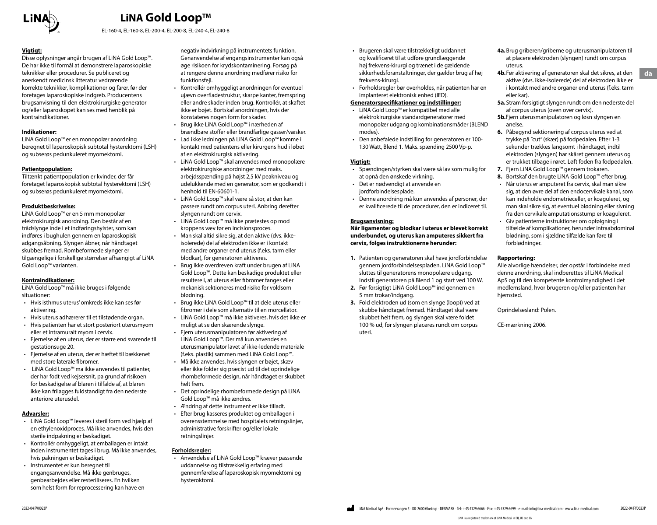

EL-160-4, EL-160-8, EL-200-4, EL-200-8, EL-240-4, EL-240-8

#### **Vigtigt:**

Disse oplysninger angår brugen af LiNA Gold Loop™. De har ikke til formål at demonstrere laparoskopiske teknikker eller procedurer. Se publiceret og anerkendt medicinsk litteratur vedrørende korrekte teknikker, komplikationer og farer, før der foretages laparoskopiske indgreb. Producentens brugsanvisning til den elektrokirurgiske generator og/eller laparoskopet kan ses med henblik på kontraindikationer.

#### **Indikationer:**

LiNA Gold Loop™ er en monopolær anordning beregnet til laparoskopisk subtotal hysterektomi (LSH) og subserøs pedunkuleret myomektomi.

#### **Patientpopulation:**

Tiltænkt patientpopulation er kvinder, der får foretaget laparoskopisk subtotal hysterektomi (LSH) og subserøs pedunkuleret myomektomi.

#### **Produktbeskrivelse:**

LiNA Gold Loop™ er en 5 mm monopolær elektrokirurgisk anordning. Den består af en trådslynge inde i et indføringshylster, som kan indføres i bughulen gennem en laparoskopisk adgangsåbning. Slyngen åbner, når håndtaget skubbes fremad. Rombeformede slynger er tilgængelige i forskellige størrelser afhængigt af LiNA Gold Loop™ varianten.

#### **Kontraindikationer:**

LiNA Gold Loop™ må ikke bruges i følgende situationer:

- Hvis isthmus uterus' omkreds ikke kan ses før aktivering.
- Hvis uterus adhærerer til et tilstødende organ.
- Hvis patienten har et stort posteriort uterusmyom eller et intramuralt myom i cervix.
- Fjernelse af en uterus, der er større end svarende til gestationsuge 20.
- Fjernelse af en uterus, der er hæftet til bækkenet med store laterale fibromer.
- LiNA Gold Loop™ ma ikke anvendes til patienter, der har fodt ved kejsersnit, pa grund af risikoen for beskadigelse af blaren i tilfalde af, at blaren ikke kan frilagges fuldstandigt fra den nederste anteriore uterusdel.

#### **Advarsler:**

- LiNA Gold Loop™ leveres i steril form ved hjælp af en ethylenoxidproces. Må ikke anvendes, hvis den sterile indpakning er beskadiget.
- Kontrollér omhyggeligt, at emballagen er intakt inden instrumentet tages i brug. Må ikke anvendes, hvis pakningen er beskadiget.
- Instrumentet er kun beregnet til engangsanvendelse. Må ikke genbruges, genbearbejdes eller resteriliseres. En hvilken som helst form for reprocessering kan have en

negativ indvirkning på instrumentets funktion. Genanvendelse af engangsinstrumenter kan også øge risikoen for krydskontaminering. Forsøg på at rengøre denne anordning medfører risiko for funktionsfejl.

- Kontrollér omhyggeligt anordningen for eventuel ujævn overfladestruktur, skarpe kanter, fremspring eller andre skader inden brug. Kontrollér, at skaftet ikke er bøjet. Bortskaf anordningen, hvis der konstateres nogen form for skader.
- Brug ikke LiNA Gold Loop™ i nærheden af brændbare stoffer eller brandfarlige gasser/væsker.
- Lad ikke ledningen på LiNA Gold Loop™ komme i kontakt med patientens eller kirurgens hud i løbet af en elektrokirurgisk aktivering.
- LiNA Gold Loop™ skal anvendes med monopolære elektrokirurgiske anordninger med maks. arbejdsspænding på højst 2,5 kV peakniveau og udelukkende med en generator, som er godkendt i henhold til EN-60601-1.
- LiNA Gold Loop™ skal være så stor, at den kan passere rundt om corpus uteri. Anbring derefter slyngen rundt om cervix.
- LiNA Gold Loop™ må ikke prætestes op mod kroppens væv før en incisionsproces.
- Man skal altid sikre sig, at den aktive (dvs. ikkeisolerede) del af elektroden ikke er i kontakt med andre organer end uterus (f.eks. tarm eller blodkar), før generatoren aktiveres.
- Brug ikke overdreven kraft under brugen af LiNA Gold Loop™. Dette kan beskadige produktet eller resultere i, at uterus eller fibromer fanges eller mekanisk sektioneres med risiko for voldsom blødning.
- Brug ikke LiNA Gold Loop™ til at dele uterus eller fibromer i dele som alternativ til en morcellator.
- LiNA Gold Loop™ må ikke aktiveres, hvis det ikke er muligt at se den skærende slynge.
- Fjern uterusmanipulatoren før aktivering af LiNA Gold Loop™. Der må kun anvendes en uterusmanipulator lavet af ikke-ledende materiale (f.eks. plastik) sammen med LiNA Gold Loop™.
- Må ikke anvendes, hvis slyngen er bøjet, skæv eller ikke folder sig præcist ud til det oprindelige rhombeformede design, når håndtaget er skubbet helt frem.
- Det oprindelige rhombeformede design på LiNA Gold Loop™ må ikke ændres.
- Ændring af dette instrument er ikke tilladt.
- Efter brug kasseres produktet og emballagen i overensstemmelse med hospitalets retningslinjer, administrative forskrifter og/eller lokale retningslinjer.

#### **Forholdsregler:**

• Anvendelse af LiNA Gold Loop™ kræver passende uddannelse og tilstrækkelig erfaring med gennemførelse af laparoskopisk myomektomi og hysteroktomi.

- Brugeren skal være tilstrækkeligt uddannet og kvalificeret til at udføre grundlæggende høj frekvens-kirurgi og trænet i de gældende sikkerhedsforanstaltninger, der gælder brug af høj frekvens-kirurgi.
- Forholdsregler bør overholdes, når patienten har en implanteret elektronisk enhed (IED).

#### **Generatorspecifikationer og indstillinger:**

- LiNA Gold Loop™ er kompatibel med alle elektrokirurgiske standardgeneratorer med monopolær udgang og kombinationsmåder (BLEND modes).
- Den anbefalede indstilling for generatoren er 100- 130 Watt, Blend 1. Maks. spænding 2500 Vp-p.

#### **Vigtigt:**

- Spændingen/styrken skal være så lav som mulig for at opnå den ønskede virkning.
- Det er nødvendigt at anvende en jordforbindelsesplade.
- Denne anordning må kun anvendes af personer, der er kvalificerede til de procedurer, den er indiceret til.

#### **Brugsanvisning:**

**Når ligamenter og blodkar i uterus er blevet korrekt underbundet, og uterus kan amputeres sikkert fra cervix, følges instruktionerne herunder:**

- **1.** Patienten og generatoren skal have jordforbindelse gennem jordforbindelsespladen. LiNA Gold Loop™ sluttes til generatorens monopolære udgang. Indstil generatoren på Blend 1 og start ved 100 W.
- **2.** Før forsigtigt LiNA Gold Loop™ ind gennem en 5 mm trokar/indgang.
- **3.** Fold elektroden ud (som en slynge (loop)) ved at skubbe håndtaget fremad. Håndtaget skal være skubbet helt frem, og slyngen skal være foldet 100 % ud, før slyngen placeres rundt om corpus uteri.
- **4a.**Brug griberen/griberne og uterusmanipulatoren til at placere elektroden (slyngen) rundt om corpus uterus.
- **4b.**Før aktivering af generatoren skal det sikres, at den aktive (dvs. ikke-isolerede) del af elektroden ikke er i kontakt med andre organer end uterus (f.eks. tarm eller kar).
- **5a.**Stram forsigtigt slyngen rundt om den nederste del af corpus uterus (oven over cervix).
- **5b.**Fjern uterusmanipulatoren og løsn slyngen en anelse.
- **6.** Påbegynd sektionering af corpus uterus ved at trykke på "cut" (skær) på fodpedalen. Efter 1-3 sekunder trækkes langsomt i håndtaget, indtil elektroden (slyngen) har skåret gennem uterus og er trukket tilbage i røret. Løft foden fra fodpedalen.
- **7.** Fjern LiNA Gold Loop™ gennem trokaren.
- **8.** Bortskaf den brugte LiNA Gold Loop™ efter brug.
- Når uterus er amputeret fra cervix, skal man sikre sig, at den øvre del af den endocervikale kanal, som kan indeholde endometrieceller, er koaguleret, og man skal sikre sig, at eventuel blødning eller sivning fra den cervikale amputationsstump er koaguleret.
- Giv patienterne instruktioner om opfølgning i tilfælde af komplikationer, herunder intraabdominal blødning, som i sjældne tilfælde kan føre til forblødninger.

#### **Rapportering:**

Alle alvorlige hændelser, der opstår i forbindelse med denne anordning, skal indberettes til LiNA Medical ApS og til den kompetente kontrolmyndighed i det medlemsland, hvor brugeren og/eller patienten har hjemsted.

Oprindelsesland: Polen.

CE-mærkning 2006.

**da**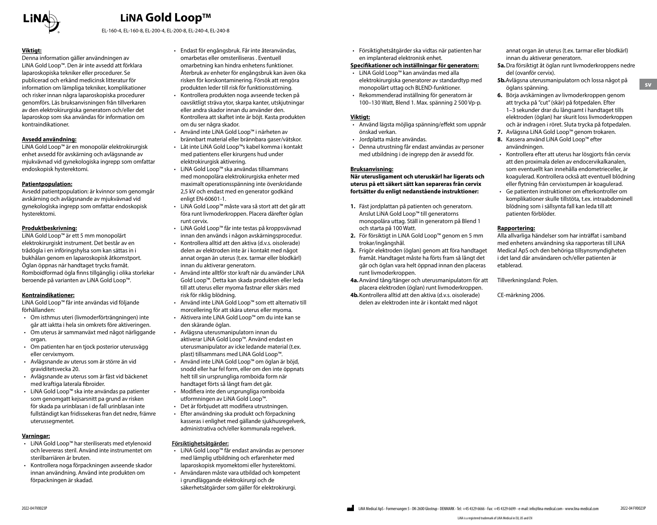

EL-160-4, EL-160-8, EL-200-4, EL-200-8, EL-240-4, EL-240-8

#### **Viktigt:**

Denna information gäller användningen av LiNA Gold Loop™. Den är inte avsedd att förklara laparoskopiska tekniker eller procedurer. Se publicerad och erkänd medicinsk litteratur för information om lämpliga tekniker, komplikationer och risker innan några laparoskopiska procedurer genomförs. Läs bruksanvisningen från tillverkaren av den elektrokirurgiska generatorn och/eller det laparoskop som ska användas för information om kontraindikationer.

#### **Avsedd användning:**

LiNA Gold Loop™ är en monopolär elektrokirurgisk enhet avsedd för avskärning och avlägsnande av mjukvävnad vid gynekologiska ingrepp som omfattar endoskopisk hysterektomi.

#### **Patientpopulation:**

Avsedd patientpopulation: är kvinnor som genomgår avskärning och avlägsnande av mjukvävnad vid gynekologiska ingrepp som omfattar endoskopisk hysterektomi.

#### **Produktbeskrivning:**

LiNA Gold Loop™ är ett 5 mm monopolärt elektrokirurgiskt instrument. Det består av en trådögla i en införingshylsa som kan sättas in i bukhålan genom en laparoskopisk åtkomstport. Öglan öppnas när handtaget trycks framåt. Romboidformad ögla finns tillgänglig i olika storlekar beroende på varianten av LiNA Gold Loop™.

#### **Kontraindikationer:**

LiNA Gold Loop™ får inte användas vid följande förhållanden:

- Om isthmus uteri (livmoderförträngningen) inte går att iaktta i hela sin omkrets före aktiveringen.
- Om uterus är sammanväxt med något närliggande organ.
- Om patienten har en tjock posterior uterusvägg eller cervixmyom.
- Avlägsnande av uterus som är större än vid graviditetsvecka 20.
- Avlägsnande av uterus som är fäst vid bäckenet med kraftiga laterala fibroider.
- LiNA Gold Loop™ ska inte användas pa patienter som genomgatt kejsarsnitt pa grund av risken för skada pa urinblasan i de fall urinblasan inte fullständigt kan fridissekeras fran det nedre, främre uterussegmentet.

#### **Varningar:**

- LiNA Gold Loop™ har steriliserats med etylenoxid och levereras steril. Använd inte instrumentet om sterilbarriären är bruten.
- Kontrollera noga förpackningen avseende skador innan användning. Använd inte produkten om förpackningen är skadad.
- Endast för engångsbruk. Får inte återanvändas, omarbetas eller omsteriliseras . Eventuell omarbetning kan hindra enhetens funktioner. Återbruk av enheter för engångsbruk kan även öka risken för korskontaminering. Försök att rengöra produkten leder till risk för funktionsstörning.
- Kontrollera produkten noga avseende tecken på oavsiktligt sträva ytor, skarpa kanter, utskjutningar eller andra skador innan du använder den. Kontrollera att skaftet inte är böjt. Kasta produkten om du ser några skador.
- Använd inte LiNA Gold Loop™ i närheten av brännbart material eller brännbara gaser/vätskor.
- Låt inte LiNA Gold Loop™s kabel komma i kontakt med patientens eller kirurgens hud under elektrokirurgisk aktivering.
- LiNA Gold Loop™ ska användas tillsammans med monopolära elektrokirurgiska enheter med maximalt operationsspänning inte överskridande 2,5 kV och endast med en generator godkänd enligt EN-60601-1.
- LiNA Gold Loop™ måste vara så stort att det går att föra runt livmoderkroppen. Placera därefter öglan runt cervix.
- LiNA Gold Loop™ får inte testas på kroppsvävnad innan den används i någon avskärningsprocedur.
- Kontrollera alltid att den aktiva (d.v.s. oisolerade) delen av elektroden inte är i kontakt med något annat organ än uterus (t.ex. tarmar eller blodkärl) innan du aktiverar generatorn.
- Använd inte alltför stor kraft när du använder LiNA Gold Loop™. Detta kan skada produkten eller leda till att uterus eller myoma fastnar eller skärs med risk för riklig blödning.
- Använd inte LiNA Gold Loop™ som ett alternativ till morcellering för att skära uterus eller myoma.
- Aktivera inte LiNA Gold Loop™ om du inte kan se den skärande öglan.
- Avlägsna uterusmanipulatorn innan du aktiverar LiNA Gold Loop™. Använd endast en uterusmanipulator av icke ledande material (t.ex. plast) tillsammans med LiNA Gold Loop™.
- Använd inte LiNA Gold Loop™ om öglan är böjd, snodd eller har fel form, eller om den inte öppnats helt till sin ursprungliga romboida form när handtaget förts så långt fram det går.
- Modifiera inte den ursprungliga romboida utformningen av LiNA Gold Loop™.
- Det är förbjudet att modifiera utrustningen.
- Efter användning ska produkt och förpackning
- kasseras i enlighet med gällande sjukhusregelverk, administrativa och/eller kommunala regelverk.

#### **Försiktighetsåtgärder:**

- LiNA Gold Loop™ får endast användas av personer med lämplig utbildning och erfarenheter med laparoskopisk myomektomi eller hysterektomi.
- Användaren måste vara utbildad och kompetent i grundläggande elektrokirurgi och de säkerhetsåtgärder som gäller för elektrokirurgi.

• Försiktighetsåtgärder ska vidtas när patienten har en implanterad elektronisk enhet.

#### **Specifikationer och inställningar för generatorn:**

- LiNA Gold Loop™ kan användas med alla elektrokirurgiska generatorer av standardtyp med monopolärt uttag och BLEND-funktioner.
- Rekommenderad inställning för generatorn är 100–130 Watt, Blend 1. Max. spänning 2 500 Vp-p.

#### **Viktigt:**

- Använd lägsta möjliga spänning/effekt som uppnår önskad verkan.
- Jordplatta måste användas.
- Denna utrustning får endast användas av personer med utbildning i de ingrepp den är avsedd för.

#### **Bruksanvisning:**

**När uterusligament och uteruskärl har ligerats och uterus på ett säkert sätt kan separeras från cervix fortsätter du enligt nedanstående instruktioner:**

- **1.** Fäst jordplattan på patienten och generatorn. Anslut LiNA Gold Loop™ till generatorns monopolära uttag. Ställ in generatorn på Blend 1 och starta på 100 Watt.
- **2.** För försiktigt in LiNA Gold Loop™ genom en 5 mm trokar/ingångshål.
- **3.** Frigör elektroden (öglan) genom att föra handtaget framåt. Handtaget måste ha förts fram så långt det går och öglan vara helt öppnad innan den placeras runt livmoderkroppen.
- **4a.**Använd tång/tänger och uterusmanipulatorn för att placera elektroden (öglan) runt livmoderkroppen.
- **4b.**Kontrollera alltid att den aktiva (d.v.s. oisolerade) delen av elektroden inte är i kontakt med något

annat organ än uterus (t.ex. tarmar eller blodkärl) innan du aktiverar generatorn.

- **5a.**Dra försiktigt åt öglan runt livmoderkroppens nedre del (ovanför cervix).
	- **5b.**Avlägsna uterusmanipulatorn och lossa något på öglans spänning.
	- **6.** Börja avskärningen av livmoderkroppen genom att trycka på "cut" (skär) på fotpedalen. Efter 1–3 sekunder drar du långsamt i handtaget tills elektroden (öglan) har skurit loss livmoderkroppen och är indragen i röret. Sluta trycka på fotpedalen.
	- **7.** Avlägsna LiNA Gold Loop™ genom trokaren.
- **8.** Kassera använd LiNA Gold Loop™ efter användningen.
- Kontrollera efter att uterus har lösgjorts från cervix att den proximala delen av endocervikalkanalen, som eventuellt kan innehålla endometrieceller, är koagulerad. Kontrollera också att eventuell blödning eller flytning från cervixstumpen är koagulerad.
- Ge patienten instruktioner om efterkontroller om komplikationer skulle tillstöta, t.ex. intraabdominell blödning som i sällsynta fall kan leda till att patienten förblöder.

#### **Rapportering:**

Alla allvarliga händelser som har inträffat i samband med enhetens användning ska rapporteras till LiNA Medical ApS och den behöriga tillsynsmyndigheten i det land där användaren och/eller patienten är etablerad.

Tillverkningsland: Polen.

CE-märkning 2006.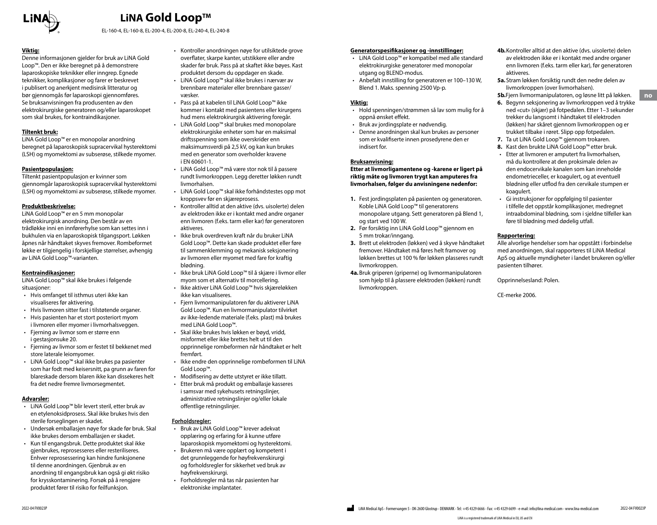

EL-160-4, EL-160-8, EL-200-4, EL-200-8, EL-240-4, EL-240-8

#### **Viktig:**

Denne informasjonen gjelder for bruk av LiNA Gold Loop™. Den er ikke beregnet på å demonstrere laparoskopiske teknikker eller inngrep. Egnede teknikker, komplikasjoner og farer er beskrevet i publisert og anerkjent medisinsk litteratur og bør gjennomgås før laparoskopi gjennomføres. Se bruksanvisningen fra produsenten av den elektrokirurgiske generatoren og/eller laparoskopet som skal brukes, for kontraindikasjoner.

#### **Tiltenkt bruk:**

LiNA Gold Loop™ er en monopolar anordning beregnet på laparoskopisk supracervikal hysterektomi (LSH) og myomektomi av subserøse, stilkede myomer.

#### **Pasientpopulasjon:**

Tiltenkt pasientpopulasjon er kvinner som gjennomgår laparoskopisk supracervikal hysterektomi (LSH) og myomektomi av subserøse, stilkede myomer.

#### **Produktbeskrivelse:**

LiNA Gold Loop™ er en 5 mm monopolar elektrokirurgisk anordning. Den består av en trådløkke inni en innførerhylse som kan settes inn i bukhulen via en laparoskopisk tilgangsport. Løkken åpnes når håndtaket skyves fremover. Rombeformet løkke er tilgjengelig i forskjellige størrelser, avhengig av LiNA Gold Loop™-varianten.

#### **Kontraindikasjoner:**

LiNA Gold Loop™ skal ikke brukes i følgende situasioner:

- Hvis omfanget til isthmus uteri ikke kan visualiseres før aktivering.
- Hvis livmoren sitter fast i tilstøtende organer.
- Hvis pasienten har et stort posteriort myom i livmoren eller myomer i livmorhalsveggen.
- Fjerning av livmor som er større enn i gestasjonsuke 20.
- Fjerning av livmor som er festet til bekkenet med store laterale leiomyomer.
- LiNA Gold Loop™ skal ikke brukes pa pasienter som har fodt med keisersnitt, pa grunn av faren for blareskade dersom blaren ikke kan dissekeres helt fra det nedre fremre livmorsegmentet.

#### **Advarsler:**

- LiNA Gold Loop™ blir levert steril, etter bruk av en etylenoksidprosess. Skal ikke brukes hvis den sterile forseglingen er skadet.
- Undersøk emballasjen nøye for skade før bruk. Skal ikke brukes dersom emballasjen er skadet.
- Kun til engangsbruk. Dette produktet skal ikke gjenbrukes, reprosesseres eller resteriliseres. Enhver reprosessering kan hindre funksjonene til denne anordningen. Gjenbruk av en anordning til engangsbruk kan også gi økt risiko for krysskontaminering. Forsøk på å rengjøre produktet fører til risiko for feilfunksjon.
- Kontroller anordningen nøye for utilsiktede grove overflater, skarpe kanter, utstikkere eller andre skader før bruk. Pass på at skaftet ikke bøyes. Kast produktet dersom du oppdager en skade.
- LiNA Gold Loop™ skal ikke brukes i nærvær av brennbare materialer eller brennbare gasser/ væsker.
- Pass på at kabelen til LiNA Gold Loop™ ikke kommer i kontakt med pasientens eller kirurgens hud mens elektrokirurgisk aktivering foregår.
- LiNA Gold Loop™ skal brukes med monopolare elektrokirurgiske enheter som har en maksimal driftsspenning som ikke overskrider enn maksimumsverdi på 2,5 kV, og kan kun brukes med en generator som overholder kravene i EN 60601-1.
- LiNA Gold Loop™ må være stor nok til å passere rundt livmorkroppen. Legg deretter løkken rundt livmorhalsen.
- LiNA Gold Loop™ skal ikke forhåndstestes opp mot kroppsvev før en skjæreprosess.
- Kontroller alltid at den aktive (dvs. uisolerte) delen av elektroden ikke er i kontakt med andre organer enn livmoren (f.eks. tarm eller kar) før generatoren aktiveres.
- Ikke bruk overdreven kraft når du bruker LiNA Gold Loop™. Dette kan skade produktet eller føre til sammenklemming og mekanisk seksjonering av livmoren eller myomet med fare for kraftig blødning.
- Ikke bruk LiNA Gold Loop™ til å skjære i livmor eller myom som et alternativ til morcellering.
- Ikke aktiver LiNA Gold Loop™ hvis skjæreløkken ikke kan visualiseres.
- Fjern livmormanipulatoren før du aktiverer LiNA Gold Loop™. Kun en livmormanipulator tilvirket av ikke-ledende materiale (f.eks. plast) må brukes med LiNA Gold Loop™.
- Skal ikke brukes hvis løkken er bøyd, vridd, misformet eller ikke brettes helt ut til den opprinnelige rombeformen når håndtaket er helt fremført.
- Ikke endre den opprinnelige rombeformen til LiNA Gold Loop™.
- Modifisering av dette utstyret er ikke tillatt.
- Etter bruk må produkt og emballasje kasseres i samsvar med sykehusets retningslinjer, administrative retningslinjer og/eller lokale offentlige retningslinjer.

#### **Forholdsregler:**

- Bruk av LiNA Gold Loop™ krever adekvat opplæring og erfaring for å kunne utføre laparoskopisk myomektomi og hysterektomi.
- Brukeren må være opplært og kompetent i det grunnleggende for høyfrekvenskirurgi og forholdsregler for sikkerhet ved bruk av
- høyfrekvenskirurgi. • Forholdsregler må tas når pasienten har elektroniske implantater.

#### **Generatorspesifikasjoner og -innstillinger:**

- LiNA Gold Loop™ er kompatibel med alle standard elektrokirurgiske generatorer med monopolar utgang og BLEND-modus.
- Anbefalt innstilling for generatoren er 100–130 W, Blend 1. Maks. spenning 2500 Vp-p.

#### **Viktig:**

- Hold spenningen/strømmen så lav som mulig for å oppnå ønsket effekt.
- Bruk av jordingsplate er nødvendig.
- Denne anordningen skal kun brukes av personer som er kvalifiserte innen prosedyrene den er indisert for.

#### **Bruksanvisning:**

**Etter at livmorligamentene og -karene er ligert på riktig måte og livmoren trygt kan amputeres fra livmorhalsen, følger du anvisningene nedenfor:**

- **1.** Fest jordingsplaten på pasienten og generatoren. Koble LiNA Gold Loop™ til generatorens monopolare utgang. Sett generatoren på Blend 1, og start ved 100 W.
- **2.** Før forsiktig inn LiNA Gold Loop™ gjennom en 5 mm trokar/inngang.
- **3.** Brett ut elektroden (løkken) ved å skyve håndtaket fremover. Håndtaket må føres helt framover og løkken brettes ut 100 % før løkken plasseres rundt livmorkroppen.
- **4a.**Bruk griperen (griperne) og livmormanipulatoren som hjelp til å plassere elektroden (løkken) rundt livmorkroppen.
- **4b.**Kontroller alltid at den aktive (dvs. uisolerte) delen av elektroden ikke er i kontakt med andre organer enn livmoren (f.eks. tarm eller kar), før generatoren aktiveres.
- **5a.**Stram løkken forsiktig rundt den nedre delen av livmorkroppen (over livmorhalsen).
- **5b.**Fjern livmormanipulatoren, og løsne litt på løkken.

**no**

- **6.** Begynn seksjonering av livmorkroppen ved å trykke ned «cut» (skjær) på fotpedalen. Etter 1–3 sekunder trekker du langsomt i håndtaket til elektroden (løkken) har skåret gjennom livmorkroppen og er trukket tilbake i røret. Slipp opp fotpedalen.
- **7.** Ta ut LiNA Gold Loop™ gjennom trokaren.
- **8.** Kast den brukte LiNA Gold Loop™ etter bruk.
- Etter at livmoren er amputert fra livmorhalsen, må du kontrollere at den proksimale delen av den endocervikale kanalen som kan inneholde endometrieceller, er koagulert, og at eventuell blødning eller utflod fra den cervikale stumpen er koagulert.
- Gi instruksjoner for oppfølging til pasienter i tilfelle det oppstår komplikasjoner, medregnet intraabdominal blødning, som i sjeldne tilfeller kan føre til blødning med dødelig utfall.

#### **Rapportering:**

Alle alvorlige hendelser som har oppstått i forbindelse med anordningen, skal rapporteres til LiNA Medical ApS og aktuelle myndigheter i landet brukeren og/eller pasienten tilhører.

Opprinnelsesland: Polen.

CE-merke 2006.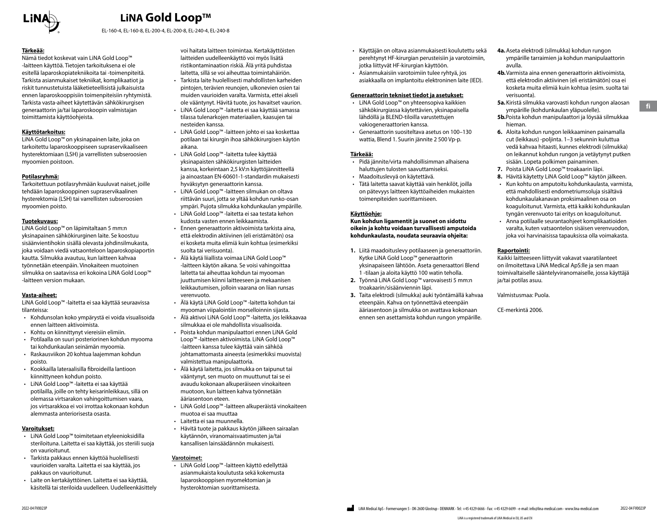

EL-160-4, EL-160-8, EL-200-4, EL-200-8, EL-240-4, EL-240-8

#### **Tärkeää:**

Nämä tiedot koskevat vain LiNA Gold Loop™ -laitteen käyttöä. Tietojen tarkoituksena ei ole esitellä laparoskopiatekniikoita tai -toimenpiteitä. Tarkista asianmukaiset tekniikat, komplikaatiot ja riskit tunnustetuista lääketieteellisistä julkaisuista ennen laparoskooppisiin toimenpiteisiin ryhtymistä. Tarkista vasta-aiheet käytettävän sähkökirurgisen generaattorin ja/tai laparoskoopin valmistajan toimittamista käyttöohjeista.

#### **Käyttötarkoitus:**

LiNA Gold Loop™ on yksinapainen laite, joka on tarkoitettu laparoskooppiseen supraservikaaliseen hysterektomiaan (LSH) ja varrellisten subseroosien myoomien poistoon.

#### **Potilasryhmä:**

Tarkoitettuun potilasryhmään kuuluvat naiset, joille tehdään laparoskooppinen supraservikaalinen hysterektomia (LSH) tai varrellisten subseroosien myoomien poisto.

#### **Tuotekuvaus:**

LiNA Gold Loop™ on läpimitaltaan 5 mm:n yksinapainen sähkökirurginen laite. Se koostuu sisäänvientihokin sisällä olevasta johdinsilmukasta, joka voidaan viedä vatsaonteloon laparoskopiaportin kautta. Silmukka avautuu, kun laitteen kahvaa työnnetään eteenpäin. Vinokaiteen muotoinen silmukka on saatavissa eri kokoina LiNA Gold Loop™ -laitteen version mukaan.

#### **Vasta-aiheet:**

LiNA Gold Loop™ -laitetta ei saa käyttää seuraavissa tilanteissa:

- Kohdunsolan koko ympärystä ei voida visualisoida ennen laitteen aktivoimista.
- Kohtu on kiinnittynyt viereisiin elimiin.
- Potilaalla on suuri posteriorinen kohdun myooma tai kohdunkaulan seinämän myoomia.
- Raskausviikon 20 kohtua laajemman kohdun poisto.
- Kookkailla lateraalisilla fibroideilla lantioon kiinnittyneen kohdun poisto.
- LiNA Gold Loop™ -laitetta ei saa käyttää potilailla, joille on tehty keisarinleikkaus, sillä on olemassa virtsarakon vahingoittumisen vaara, jos virtsarakkoa ei voi irrottaa kokonaan kohdun alemmasta anteriorisesta osasta.

#### **Varoitukset:**

- LiNA Gold Loop™ toimitetaan etyleenioksidilla steriloituna. Laitetta ei saa käyttää, jos steriili suoja on vaurioitunut.
- Tarkista pakkaus ennen käyttöä huolellisesti vaurioiden varalta. Laitetta ei saa käyttää, jos pakkaus on vaurioitunut.
- Laite on kertakäyttöinen. Laitetta ei saa käyttää, käsitellä tai steriloida uudelleen. Uudelleenkäsittely

voi haitata laitteen toimintaa. Kertakäyttöisten laitteiden uudelleenkäyttö voi myös lisätä ristikontaminaation riskiä. Älä yritä puhdistaa laitetta, sillä se voi aiheuttaa toimintahäiriön.

- Tarkista laite huolellisesti mahdollisten karheiden pintojen, terävien reunojen, ulkonevien osien tai muiden vaurioiden varalta. Varmista, ettei akseli ole vääntynyt. Hävitä tuote, jos havaitset vaurion.
- LiNA Gold Loop™ -laitetta ei saa käyttää samassa tilassa tulenarkojen materiaalien, kaasujen tai nesteiden kanssa.
- LiNA Gold Loop™ -laitteen johto ei saa koskettaa potilaan tai kirurgin ihoa sähkökirurgisen käytön aikana.
- LiNA Gold Loop™ -laitetta tulee käyttää yksinapaisten sähkökirurgisten laitteiden kanssa, korkeintaan 2,5 kV:n käyttöjännitteellä ja ainoastaan EN-60601-1-standardin mukaisesti hyväksytyn generaattorin kanssa.
- LiNA Gold Loop™ -laitteen silmukan on oltava riittävän suuri, jotta se yltää kohdun runko-osan ympäri. Pujota silmukka kohdunkaulan ympärille.
- LiNA Gold Loop™ -laitetta ei saa testata kehon kudosta vasten ennen leikkaamista.
- Ennen generaattorin aktivoimista tarkista aina, että elektrodin aktiivinen (eli eristämätön) osa ei kosketa muita elimiä kuin kohtua (esimerkiksi suolta tai verisuonta).
- Älä käytä liiallista voimaa LiNA Gold Loop™ -laitteen käytön aikana. Se voisi vahingoittaa laitetta tai aiheuttaa kohdun tai myooman juuttumisen kiinni laitteeseen ja mekaanisen leikkautumisen, jolloin vaarana on liian runsas verenvuoto.
- Älä käytä LiNA Gold Loop™ -laitetta kohdun tai myooman viipalointiin morselloinnin sijasta.
- Älä aktivoi LiNA Gold Loop™ -laitetta, jos leikkaavaa silmukkaa ei ole mahdollista visualisoida.
- Poista kohdun manipulaattori ennen LiNA Gold Loop™ -laitteen aktivoimista. LiNA Gold Loop™ -laitteen kanssa tulee käyttää vain sähköä johtamattomasta aineesta (esimerkiksi muovista) valmistettua manipulaattoria.
- Älä käytä laitetta, jos silmukka on taipunut tai vääntynyt, sen muoto on muuttunut tai se ei avaudu kokonaan alkuperäiseen vinokaiteen muotoon, kun laitteen kahva työnnetään ääriasentoon eteen.
- LiNA Gold Loop™ -laitteen alkuperäistä vinokaiteen muotoa ei saa muuttaa
- Laitetta ei saa muunnella.
- Hävitä tuote ja pakkaus käytön jälkeen sairaalan käytännön, viranomaisvaatimusten ja/tai kansallisen lainsäädännön mukaisesti.

#### **Varotoimet:**

• LiNA Gold Loop™ -laitteen käyttö edellyttää asianmukaista koulutusta sekä kokemusta laparoskooppisen myomektomian ja hysteroktomian suorittamisesta.

- Käyttäjän on oltava asianmukaisesti koulutettu sekä perehtynyt HF-kirurgian perusteisiin ja varotoimiin, jotka liittyvät HF-kirurgian käyttöön.
- Asianmukaisiin varotoimiin tulee ryhtyä, jos asiakkaalla on implantoitu elektroninen laite (IED).

#### **Generaattorin tekniset tiedot ja asetukset:**

- LiNA Gold Loop™ on yhteensopiva kaikkien sähkökirurgiassa käytettävien, yksinapaisella lähdöllä ja BLEND-tiloilla varustettujen vakiogeneraattorien kanssa.
- Generaattorin suositeltava asetus on 100–130 wattia, Blend 1. Suurin jännite 2 500 Vp-p.

#### **Tärkeää:**

- Pidä jännite/virta mahdollisimman alhaisena haluttujen tulosten saavuttamiseksi.
- Maadoituslevyä on käytettävä.
- Tätä laitetta saavat käyttää vain henkilöt, joilla on pätevyys laitteen käyttöaiheiden mukaisten toimenpiteiden suorittamiseen.

#### **Käyttöohje:**

**Kun kohdun ligamentit ja suonet on sidottu oikein ja kohtu voidaan turvallisesti amputoida kohdunkaulasta, noudata seuraavia ohjeita:**

- **1.** Liitä maadoituslevy potilaaseen ja generaattoriin. Kytke LiNA Gold Loop™ generaattorin yksinapaiseen lähtöön. Aseta generaattori Blend 1 -tilaan ja aloita käyttö 100 watin teholla.
- **2.** Työnnä LiNA Gold Loop™ varovaisesti 5 mm:n troakaarin/sisäänviennin läpi.
- **3.** Taita elektrodi (silmukka) auki työntämällä kahvaa eteenpäin. Kahva on työnnettävä eteenpäin ääriasentoon ja silmukka on avattava kokonaan ennen sen asettamista kohdun rungon ympärille.
- **4a.**Aseta elektrodi (silmukka) kohdun rungon ympärille tarraimien ja kohdun manipulaattorin avulla.
- **4b.**Varmista aina ennen generaattorin aktivoimista, että elektrodin aktiivinen (eli eristämätön) osa ei kosketa muita elimiä kuin kohtua (esim. suolta tai verisuonta).
- **5a.**Kiristä silmukka varovasti kohdun rungon alaosan ympärille (kohdunkaulan yläpuolelle).
- **5b.**Poista kohdun manipulaattori ja löysää silmukkaa hieman.
- **6.** Aloita kohdun rungon leikkaaminen painamalla cut (leikkaus) -poljinta. 1–3 sekunnin kuluttua vedä kahvaa hitaasti, kunnes elektrodi (silmukka) on leikannut kohdun rungon ja vetäytynyt putken sisään. Lopeta polkimen painaminen.
- **7.** Poista LiNA Gold Loop™ troakaarin läpi.
- **8.** Hävitä käytetty LiNA Gold Loop™ käytön jälkeen.
- Kun kohtu on amputoitu kohdunkaulasta, varmista, että mahdollisesti endometriumsoluja sisältävä kohdunkaulakanavan proksimaalinen osa on koaguloitunut. Varmista, että kaikki kohdunkaulan tyngän verenvuoto tai eritys on koaguloitunut.
- Anna potilaalle seurantaohjeet komplikaatioiden varalta, kuten vatsaontelon sisäisen verenvuodon, joka voi harvinaisissa tapauksissa olla voimakasta.

#### **Raportointi:**

Kaikki laitteeseen liittyvät vakavat vaaratilanteet on ilmoitettava LiNA Medical ApS:lle ja sen maan toimivaltaiselle sääntelyviranomaiselle, jossa käyttäjä ja/tai potilas asuu.

Valmistusmaa: Puola.

CE-merkintä 2006.

LiNA is a registered trademark of LiNA Medical in EU, US and CN

**fi**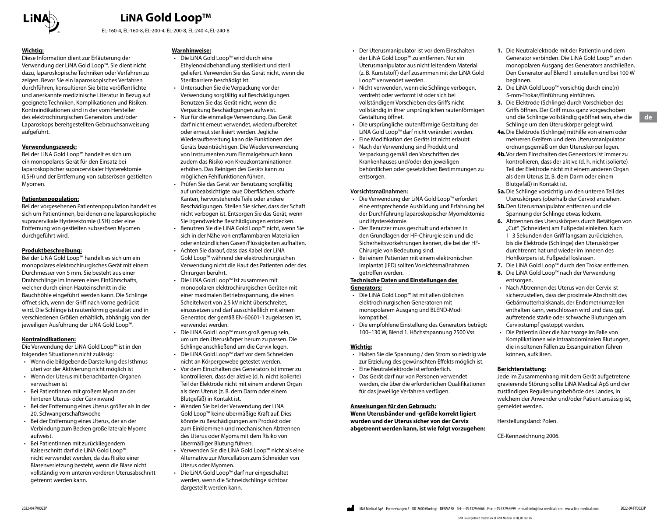

EL-160-4, EL-160-8, EL-200-4, EL-200-8, EL-240-4, EL-240-8

#### **Wichtig:**

Diese Information dient zur Erläuterung der Verwendung der LiNA Gold Loop™. Sie dient nicht dazu, laparoskopische Techniken oder Verfahren zu zeigen. Bevor Sie ein laparoskopisches Verfahren durchführen, konsultieren Sie bitte veröffentlichte und anerkannte medizinische Literatur in Bezug auf geeignete Techniken, Komplikationen und Risiken. Kontraindikationen sind in der vom Hersteller des elektrochirurgischen Generators und/oder Laparoskops bereitgestellten Gebrauchsanweisung aufgeführt.

#### **Verwendungszweck:**

Bei der LiNA Gold Loop™ handelt es sich um ein monopolares Gerät für den Einsatz bei laparoskopischer supracervikaler Hysterektomie (LSH) und der Entfernung von subserösen gestielten Myomen.

#### **Patientenpopulation:**

Bei der vorgesehenen Patientenpopulation handelt es sich um Patientinnen, bei denen eine laparoskopische supracervikale Hysterektomie (LSH) oder eine Entfernung von gestielten subserösen Myomen durchgeführt wird.

#### **Produktbeschreibung:**

Bei der LiNA Gold Loop™ handelt es sich um ein monopolares elektrochirurgisches Gerät mit einem Durchmesser von 5 mm. Sie besteht aus einer Drahtschlinge im Inneren eines Einführschafts, welcher durch einen Hauteinschnitt in die Bauchhöhle eingeführt werden kann. Die Schlinge öffnet sich, wenn der Griff nach vorne gedrückt wird. Die Schlinge ist rautenförmig gestaltet und in verschiedenen Größen erhältlich, abhängig von der jeweiligen Ausführung der LiNA Gold Loop™.

#### **Kontraindikationen:**

Die Verwendung der LiNA Gold Loop™ ist in den folgenden Situationen nicht zulässig:

- Wenn die bildgebende Darstellung des Isthmus uteri vor der Aktivierung nicht möglich ist
- Wenn der Uterus mit benachbarten Organen verwachsen ist
- Bei Patientinnen mit großem Myom an der hinteren Uterus- oder Cervixwand
- Bei der Entfernung eines Uterus größer als in der 20. Schwangerschaftswoche
- Bei der Entfernung eines Uterus, der an der Verbindung zum Becken große laterale Myome aufweist.
- Bei Patientinnen mit zurückliegendem Kaiserschnitt darf die LiNA Gold Loop™ nicht verwendet werden, da das Risiko einer Blasenverletzung besteht, wenn die Blase nicht vollständig vom unteren vorderen Uterusabschnitt getrennt werden kann.

#### **Warnhinweise:**

- Die LiNA Gold Loop™ wird durch eine Ethylenoxidbehandlung sterilisiert und steril geliefert. Verwenden Sie das Gerät nicht, wenn die Sterilbarriere beschädigt ist.
- Untersuchen Sie die Verpackung vor der Verwendung sorgfältig auf Beschädigungen. Benutzen Sie das Gerät nicht, wenn die Verpackung Beschädigungen aufweist.
- Nur für die einmalige Verwendung. Das Gerät darf nicht erneut verwendet, wiederaufbereitet oder erneut sterilisiert werden. Jegliche Wiederaufbereitung kann die Funktionen des Geräts beeinträchtigen. Die Wiederverwendung von Instrumenten zum Einmalgebrauch kann zudem das Risiko von Kreuzkontaminationen erhöhen. Das Reinigen des Geräts kann zu möglichen Fehlfunktionen führen.
- Prüfen Sie das Gerät vor Benutzung sorgfältig auf unbeabsichtigte raue Oberflächen, scharfe Kanten, hervorstehende Teile oder andere Beschädigungen. Stellen Sie sicher, dass der Schaft nicht verbogen ist. Entsorgen Sie das Gerät, wenn Sie irgendwelche Beschädigungen entdecken.
- Benutzen Sie die LiNA Gold Loop™ nicht, wenn Sie sich in der Nähe von entflammbaren Materialien oder entzündlichen Gasen/Flüssigkeiten aufhalten.
- Achten Sie darauf, dass das Kabel der LiNA Gold Loop™ während der elektrochirurgischen Verwendung nicht die Haut des Patienten oder des Chirurgen berührt.
- Die LiNA Gold Loop™ ist zusammen mit monopolaren elektrochirurgischen Geräten mit einer maximalen Betriebsspannung, die einen Scheitelwert von 2,5 kV nicht überschreitet, einzusetzen und darf ausschließlich mit einem Generator, der gemäß EN-60601-1 zugelassen ist, verwendet werden.
- Die LiNA Gold Loop™ muss groß genug sein, um um den Uteruskörper herum zu passen. Die Schlinge anschließend um die Cervix legen.
- Die LiNA Gold Loop™ darf vor dem Schneiden nicht an Körpergewebe getestet werden.
- Vor dem Einschalten des Generators ist immer zu kontrollieren, dass der aktive (d. h. nicht isolierte) Teil der Elektrode nicht mit einem anderen Organ als dem Uterus (z. B. dem Darm oder einem Blutgefäß) in Kontakt ist.
- Wenden Sie bei der Verwendung der LiNA Gold Loop™ keine übermäßige Kraft auf. Dies könnte zu Beschädigungen am Produkt oder zum Einklemmen und mechanischen Abtrennen des Uterus oder Myoms mit dem Risiko von übermäßiger Blutung führen.
- Verwenden Sie die LiNA Gold Loop™ nicht als eine Alternative zur Morcellation zum Schneiden von Uterus oder Myomen.
- Die LiNA Gold Loop™ darf nur eingeschaltet werden, wenn die Schneidschlinge sichtbar dargestellt werden kann.
- Der Uterusmanipulator ist vor dem Einschalten der LiNA Gold Loop™ zu entfernen. Nur ein Uterusmanipulator aus nicht leitendem Material (z. B. Kunststoff) darf zusammen mit der LiNA Gold Loop™ verwendet werden.
- Nicht verwenden, wenn die Schlinge verbogen, verdreht oder verformt ist oder sich bei vollständigem Vorschieben des Griffs nicht vollständig in ihrer ursprünglichen rautenförmigen Gestaltung öffnet.
- Die ursprüngliche rautenförmige Gestaltung der LiNA Gold Loop™ darf nicht verändert werden.
- Eine Modifikation des Geräts ist nicht erlaubt. • Nach der Verwendung sind Produkt und
- Verpackung gemäß den Vorschriften des Krankenhauses und/oder den jeweiligen behördlichen oder gesetzlichen Bestimmungen zu entsorgen.

#### **Vorsichtsmaßnahmen:**

- Die Verwendung der LiNA Gold Loop™ erfordert eine entsprechende Ausbildung und Erfahrung bei der Durchführung laparoskopischer Myomektomie und Hysterektomie.
- Der Benutzer muss geschult und erfahren in den Grundlagen der HF-Chirurgie sein und die Sicherheitsvorkehrungen kennen, die bei der HF-Chirurgie von Bedeutung sind.
- Bei einem Patienten mit einem elektronischen Implantat (IED) sollten Vorsichtsmaßnahmen getroffen werden.

#### **Technische Daten und Einstellungen des Generators:**

- Die LiNA Gold Loop™ ist mit allen üblichen elektrochirurgischen Generatoren mit monopolarem Ausgang und BLEND-Modi kompatibel.
- Die empfohlene Einstellung des Generators beträgt: 100–130 W, Blend 1. Höchstspannung 2500 Vss

#### **Wichtig:**

- Halten Sie die Spannung / den Strom so niedrig wie zur Erzielung des gewünschten Effekts möglich ist.
- Eine Neutralelektrode ist erforderlich.
- Das Gerät darf nur von Personen verwendet werden, die über die erforderlichen Qualifikationen für das jeweilige Verfahren verfügen.

#### **Anweisungen für den Gebrauch:**

**Wenn Uterusbänder und -gefäße korrekt ligiert wurden und der Uterus sicher von der Cervix abgetrennt werden kann, ist wie folgt vorzugehen:**

- **1.** Die Neutralelektrode mit der Patientin und dem Generator verbinden. Die LiNA Gold Loop™ an den monopolaren Ausgang des Generators anschließen. Den Generator auf Blend 1 einstellen und bei 100 W beginnen.
- **2.** Die LiNA Gold Loop™ vorsichtig durch eine(n) 5-mm-Trokar/Einführung einführen.
- **3.** Die Elektrode (Schlinge) durch Vorschieben des Griffs öffnen. Der Griff muss ganz vorgeschoben und die Schlinge vollständig geöffnet sein, ehe die Schlinge um den Uteruskörper gelegt wird.
- **4a.**Die Elektrode (Schlinge) mithilfe von einem oder mehreren Greifern und dem Uterusmanipulator ordnungsgemäß um den Uteruskörper legen.
- **4b.**Vor dem Einschalten des Generators ist immer zu kontrollieren, dass der aktive (d. h. nicht isolierte) Teil der Elektrode nicht mit einem anderen Organ als dem Uterus (z. B. dem Darm oder einem Blutgefäß) in Kontakt ist.
- **5a.**Die Schlinge vorsichtig um den unteren Teil des Uteruskörpers (oberhalb der Cervix) anziehen.
- **5b.**Den Uterusmanipulator entfernen und die Spannung der Schlinge etwas lockern.
- **6.** Abtrennen des Uteruskörpers durch Betätigen von "Cut" (Schneiden) am Fußpedal einleiten. Nach 1–3 Sekunden den Griff langsam zurückziehen, bis die Elektrode (Schlinge) den Uteruskörper durchtrennt hat und wieder im Inneren des Hohlkörpers ist. Fußpedal loslassen.
- **7.** Die LiNA Gold Loop™ durch den Trokar entfernen.
- **8.** Die LiNA Gold Loop™ nach der Verwendung entsorgen.
- Nach Abtrennen des Uterus von der Cervix ist sicherzustellen, dass der proximale Abschnitt des Gebärmutterhalskanals, der Endometriumzellen enthalten kann, verschlossen wird und dass ggf. auftretende starke oder schwache Blutungen am Cervixstumpf gestoppt werden.
- Die Patientin über die Nachsorge im Falle von Komplikationen wie intraabdominalen Blutungen, die in seltenen Fällen zu Exsanguination führen können, aufklären.

#### **Berichterstattung:**

Jede im Zusammenhang mit dem Gerät aufgetretene gravierende Störung sollte LiNA Medical ApS und der zuständigen Regulierungsbehörde des Landes, in welchem der Anwender und/oder Patient ansässig ist, gemeldet werden.

Herstellungsland: Polen.

CE-Kennzeichnung 2006.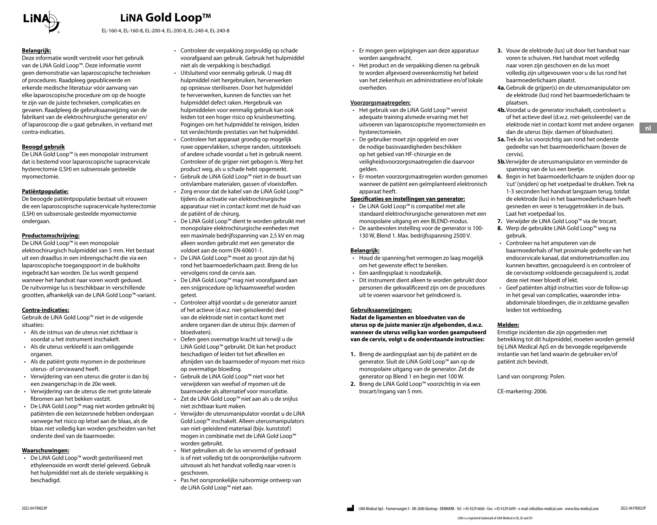

EL-160-4, EL-160-8, EL-200-4, EL-200-8, EL-240-4, EL-240-8

#### **Belangrijk:**

Deze informatie wordt verstrekt voor het gebruik van de LiNA Gold Loop™. Deze informatie vormt geen demonstratie van laparoscopische technieken of procedures. Raadpleeg gepubliceerde en erkende medische literatuur vóór aanvang van elke laparoscopische procedure om op de hoogte te zijn van de juiste technieken, complicaties en gevaren. Raadpleeg de gebruiksaanwijzing van de fabrikant van de elektrochirurgische generator en/ of laparoscoop die u gaat gebruiken, in verband met contra-indicaties.

#### **Beoogd gebruik**

De LiNA Gold Loop™ is een monopolair instrument dat is bestemd voor laparoscopische supracervicale hysterectomie (LSH) en subserosale gesteelde myomectomie.

#### **Patiëntpopulatie:**

De beoogde patiëntpopulatie bestaat uit vrouwen die een laparoscopische supracervicale hysterectomie (LSH) en subserosale gesteelde myomectomie ondergaan.

#### **Productomschrijving:**

De LiNA Gold Loop™ is een monopolair elektrochirurgisch hulpmiddel van 5 mm. Het bestaat uit een draadlus in een inbrengschacht die via een laparoscopische toegangspoort in de buikholte ingebracht kan worden. De lus wordt geopend wanneer het handvat naar voren wordt geduwd. De ruitvormige lus is beschikbaar in verschillende grootten, afhankelijk van de LiNA Gold Loop™-variant.

#### **Contra-indicaties:**

Gebruik de LiNA Gold Loop™ niet in de volgende situaties:

- Als de istmus van de uterus niet zichtbaar is voordat u het instrument inschakelt.
- Als de uterus verkleefd is aan omliggende organen.
- Als de patiënt grote myomen in de posterieure uterus- of cervixwand heeft.
- Verwijdering van een uterus die groter is dan bij een zwangerschap in de 20e week.
- Verwijdering van de uterus die met grote laterale fibromen aan het bekken vastzit.
- De LiNA Gold Loop™ mag niet worden gebruikt bij patiënten die een keizersnede hebben ondergaan vanwege het risico op letsel aan de blaas, als de blaas niet volledig kan worden gescheiden van het onderste deel van de baarmoeder.

#### **Waarschuwingen:**

• De LiNA Gold Loop™ wordt gesteriliseerd met ethyleenoxide en wordt steriel geleverd. Gebruik het hulpmiddel niet als de steriele verpakking is beschadigd.

- Controleer de verpakking zorgvuldig op schade voorafgaand aan gebruik. Gebruik het hulpmiddel niet als de verpakking is beschadigd.
- Uitsluitend voor eenmalig gebruik. U mag dit hulpmiddel niet hergebruiken, herverwerken op opnieuw steriliseren. Door het hulpmiddel te herverwerken, kunnen de functies van het hulpmiddel defect raken. Hergebruik van hulpmiddelen voor eenmalig gebruik kan ook leiden tot een hoger risico op kruisbesmetting. Pogingen om het hulpmiddel te reinigen, leiden tot verslechterde prestaties van het hulpmiddel.
- Controleer het apparaat grondig op mogelijk ruwe oppervlakken, scherpe randen, uitsteeksels of andere schade voordat u het in gebruik neemt. Controleer of de grijper niet gebogen is. Werp het product weg, als u schade hebt opgemerkt.
- Gebruik de LiNA Gold Loop™ niet in de buurt van ontvlambare materialen, gassen of vloeistoffen.
- Zorg ervoor dat de kabel van de LiNA Gold Loop™ tijdens de activatie van elektrochirurgische apparatuur niet in contact komt met de huid van de patiënt of de chirurg.
- De LiNA Gold Loop™ dient te worden gebruikt met monopolaire elektrochirurgische eenheden met een maximale bedrijfsspanning van 2,5 kV en mag alleen worden gebruikt met een generator die voldoet aan de norm EN-60601-1.
- De LiNA Gold Loop™ moet zo groot zijn dat hij rond het baarmoederlichaam past. Breng de lus vervolgens rond de cervix aan.
- De LiNA Gold Loop™ mag niet voorafgaand aan een snijprocedure op lichaamsweefsel worden getest.
- Controleer altijd voordat u de generator aanzet of het actieve (d.w.z. niet-geïsoleerde) deel van de elektrode niet in contact komt met andere organen dan de uterus (bijv. darmen of bloedvaten).
- Oefen geen overmatige kracht uit terwijl u de LiNA Gold Loop™ gebruikt. Dit kan het product beschadigen of leiden tot het afknellen en afsnijden van de baarmoeder of myoom met risico op overmatige bloeding.
- Gebruik de LiNA Gold Loop™ niet voor het verwijderen van weefsel of myomen uit de baarmoeder als alternatief voor morcellatie.
- Zet de LiNA Gold Loop™ niet aan als u de snijlus niet zichtbaar kunt maken.
- Verwijder de uterusmanipulator voordat u de LiNA Gold Loop™ inschakelt. Alleen uterusmanipulators van niet-geleidend materiaal (bijv. kunststof) mogen in combinatie met de LiNA Gold Loop™ worden gebruikt.
- Niet gebruiken als de lus vervormd of gedraaid is of niet volledig tot de oorspronkelijke ruitvorm uitvouwt als het handvat volledig naar voren is geschoven.
- Pas het oorspronkelijke ruitvormige ontwerp van de LiNA Gold Loop™ niet aan.
- Er mogen geen wijzigingen aan deze apparatuur worden aangebracht.
- Het product en de verpakking dienen na gebruik te worden afgevoerd overeenkomstig het beleid van het ziekenhuis en administratieve en/of lokale overheden.

#### **Voorzorgsmaatregelen:**

- Het gebruik van de LiNA Gold Loop™ vereist adequate training alsmede ervaring met het uitvoeren van laparoscopische myomectomieën en hysterectomieën.
- De gebruiker moet zijn opgeleid en over de nodige basisvaardigheden beschikken op het gebied van HF-chirurgie en de veiligheidsvoorzorgsmaatregelen die daarvoor gelden.
- Er moeten voorzorgsmaatregelen worden genomen wanneer de patiënt een geïmplanteerd elektronisch apparaat heeft.

#### **Specificaties en instellingen van generator:**

- De LiNA Gold Loop™ is compatibel met alle standaard elektrochirurgische generatoren met een monopolaire uitgang en een BLEND-modus.
- De aanbevolen instelling voor de generator is 100- 130 W, Blend 1. Max. bedrijfsspanning 2500 V.

#### **Belangrijk:**

- Houd de spanning/het vermogen zo laag mogelijk om het gewenste effect te bereiken.
- Een aardingsplaat is noodzakelijk.
- Dit instrument dient alleen te worden gebruikt door personen die gekwalificeerd zijn om de procedures uit te voeren waarvoor het geïndiceerd is.

#### **Gebruiksaanwijzingen:**

**Nadat de ligamenten en bloedvaten van de uterus op de juiste manier zijn afgebonden, d.w.z. wanneer de uterus veilig kan worden geamputeerd van de cervix, volgt u de onderstaande instructies:**

- **1.** Breng de aardingsplaat aan bij de patiënt en de generator. Sluit de LiNA Gold Loop™ aan op de monopolaire uitgang van de generator. Zet de generator op Blend 1 en begin met 100 W.
- **2.** Breng de LiNA Gold Loop™ voorzichtig in via een trocart/ingang van 5 mm.
- **3.** Vouw de elektrode (lus) uit door het handvat naar voren te schuiven. Het handvat moet volledig naar voren zijn geschoven en de lus moet volledig zijn uitgevouwen voor u de lus rond het baarmoederlichaam plaatst.
- **4a.**Gebruik de grijper(s) en de uterusmanipulator om de elektrode (lus) rond het baarmoederlichaam te plaatsen.
- **4b.**Voordat u de generator inschakelt, controleert u of het actieve deel (d.w.z. niet-geïsoleerde) van de elektrode niet in contact komt met andere organen dan de uterus (bijv. darmen of bloedvaten).
- **5a.**Trek de lus voorzichtig aan rond het onderste gedeelte van het baarmoederlichaam (boven de cervix).
- **5b.**Verwijder de uterusmanipulator en verminder de spanning van de lus een beetje.
- **6.** Begin in het baarmoederlichaam te snijden door op 'cut' (snijden) op het voetpedaal te drukken. Trek na 1-3 seconden het handvat langzaam terug, totdat de elektrode (lus) in het baarmoederlichaam heeft gesneden en weer is teruggetrokken in de buis. Laat het voetpedaal los.
- **7.** Verwijder de LiNA Gold Loop™ via de trocart.
- **8.** Werp de gebruikte LiNA Gold Loop™ weg na gebruik.
- Controleer na het amputeren van de baarmoederhals of het proximale gedeelte van het endocervicale kanaal, dat endometriumcellen zou kunnen bevatten, gecoaguleerd is en controleer of de cervixstomp voldoende gecoaguleerd is, zodat deze niet meer bloedt of lekt.
- Geef patiënten altijd instructies voor de follow-up in het geval van complicaties, waaronder intraabdominale bloedingen, die in zeldzame gevallen leiden tot verbloeding.

#### **Melden:**

Ernstige incidenten die zijn opgetreden met betrekking tot dit hulpmiddel, moeten worden gemeld bij LiNA Medical ApS en de bevoegde regelgevende instantie van het land waarin de gebruiker en/of patiënt zich bevindt.

Land van oorsprong: Polen.

CE-markering: 2006.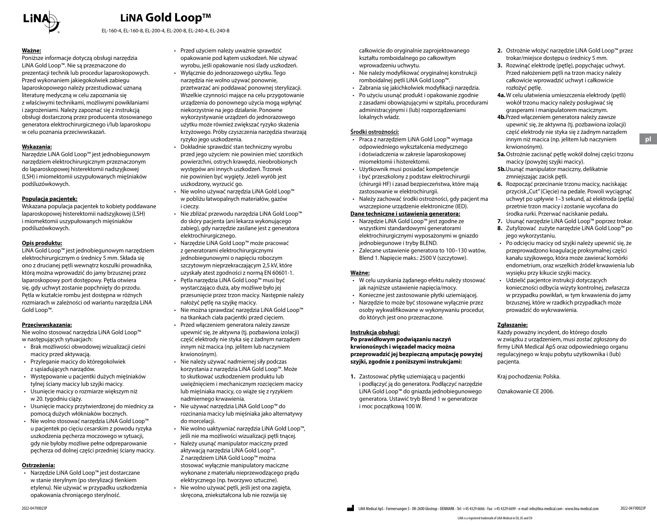

EL-160-4, EL-160-8, EL-200-4, EL-200-8, EL-240-4, EL-240-8

#### **Ważne:**

Poniższe informacje dotyczą obsługi narzędzia LiNA Gold Loop™. Nie są przeznaczone do prezentacji technik lub procedur laparoskopowych. Przed wykonaniem jakiegokolwiek zabiegu laparoskopowego należy przestudiować uznaną literaturę medyczną w celu zapoznania się z właściwymi technikami, możliwymi powikłaniami i zagrożeniami. Należy zapoznać się z instrukcją obsługi dostarczoną przez producenta stosowanego generatora elektrochirurgicznego i/lub laparoskopu w celu poznania przeciwwskazań.

#### **Wskazania:**

Narzędzie LiNA Gold Loop™ jest jednobiegunowym narzędziem elektrochirurgicznym przeznaczonym do laparoskopowej histerektomii nadszyjkowej (LSH) i miomektomii uszypułowanych mięśniaków podśluzówkowych.

#### **Populacja pacjentek:**

Wskazana populacja pacjentek to kobiety poddawane laparoskopowej histerektomii nadszyjkowej (LSH) i miomektomii uszypułowanych mięśniaków podśluzówkowych.

#### **Opis produktu:**

LiNA Gold Loop™ jest jednobiegunowym narzędziem elektrochirurgicznym o średnicy 5 mm. Składa się ono z drucianej pętli wewnątrz koszulki prowadnika, którą można wprowadzić do jamy brzusznej przez laparoskopowy port dostępowy. Pętla otwiera się, gdy uchwyt zostanie popchnięty do przodu. Pętla w kształcie rombu jest dostępna w różnych rozmiarach w zależności od wariantu narzędzia LiNA Gold Loop™.

#### **Przeciwwskazania:**

Nie wolno stosować narzędzia LiNA Gold Loop™ w następujących sytuacjach:

- Brak możliwości obwodowej wizualizacji cieśni macicy przed aktywacją.
- Przyleganie macicy do któregokolwiek z sąsiadujących narządów.
- Występowanie u pacjentki dużych mięśniaków tylnej ściany macicy lub szyjki macicy.
- Usunięcie macicy o rozmiarze większym niż w 20. tygodniu ciąży.
- Usunięcie macicy przytwierdzonej do miednicy za pomocą dużych włókniaków bocznych.
- Nie wolno stosować narzędzia LiNA Gold Loop™ u pacjentek po cięciu cesarskim z powodu ryzyka uszkodzenia pęcherza moczowego w sytuacji, gdy nie byłoby możliwe pełne odpreparowanie pęcherza od dolnej części przedniej ściany macicy.

#### **Ostrzeżenia:**

• Narzędzie LiNA Gold Loop™ jest dostarczane w stanie sterylnym (po sterylizacji tlenkiem etylenu). Nie używać w przypadku uszkodzenia opakowania chroniącego sterylność.

- Przed użyciem należy uważnie sprawdzić opakowanie pod kątem uszkodzeń. Nie używać wyrobu, jeśli opakowanie nosi ślady uszkodzeń.
- Wyłącznie do jednorazowego użytku. Tego narzędzia nie wolno używać ponownie, przetwarzać ani poddawać ponownej sterylizacji. Wszelkie czynności mające na celu przygotowanie urządzenia do ponownego użycia mogą wpłynąć niekorzystnie na jego działanie. Ponowne wykorzystywanie urządzeń do jednorazowego użytku może również zwiększać ryzyko skażenia krzyżowego. Próby czyszczenia narzędzia stwarzają ryzyko jego uszkodzenia.
- Dokładnie sprawdzić stan techniczny wyrobu przed jego użyciem: nie powinien mieć szorstkich powierzchni, ostrych krawędzi, nieobrobionych występów ani innych uszkodzeń. Trzonek nie powinien być wygięty. Jeżeli wyrób jest uszkodzony, wyrzucić go.
- Nie wolno używać narzędzia LiNA Gold Loop™ w pobliżu łatwopalnych materiałów, gazów i cieczy.
- Nie zbliżać przewodu narzędzia LiNA Gold Loop™ do skóry pacjenta (ani lekarza wykonującego zabieg), gdy narzędzie zasilane jest z generatora elektrochirurgicznego.
- Narzędzie LiNA Gold Loop™ może pracować z generatorami elektrochirurgicznymi jednobiegunowymi o napięciu roboczym szczytowym nieprzekraczającym 2,5 kV, które uzyskały atest zgodności z normą EN 60601-1.
- Pętla narzędzia LiNA Gold Loop™ musi być wystarczająco duża, aby możliwe było jej przesunięcie przez trzon macicy. Następnie należy nałożyć pętlę na szyjkę macicy.
- Nie można sprawdzać narzędzia LiNA Gold Loop™ na tkankach ciała pacjentki przed cięciem.
- Przed włączeniem generatora należy zawsze upewnić się, że aktywna (tj. pozbawiona izolacji) część elektrody nie styka się z żadnym narządem innym niż macica (np. jelitem lub naczyniem krwionośnym).
- Nie należy używać nadmiernej siły podczas korzystania z narzędzia LiNA Gold Loop™. Może to skutkować uszkodzeniem produktu lub uwięźnięciem i mechanicznym rozcięciem macicy lub mięśniaka macicy, co wiąże się z ryzykiem nadmiernego krwawienia.
- Nie używać narzędzia LiNA Gold Loop™ do rozcinania macicy lub mięśniaka jako alternatywy do morcelacji.
- Nie wolno uaktywniać narzędzia LiNA Gold Loop™, jeśli nie ma możliwości wizualizacji pętli tnącej.
- Należy usunąć manipulator maciczny przed aktywacją narzędzia LiNA Gold Loop™. Z narzędziem LiNA Gold Loop™ można stosować wyłącznie manipulatory maciczne wykonane z materiału nieprzewodzącego prądu elektrycznego (np. tworzywo sztuczne).
- Nie wolno używać pętli, jeśli jest ona zagięta, skręcona, zniekształcona lub nie rozwija się

całkowicie do oryginalnie zaprojektowanego kształtu romboidalnego po całkowitym wprowadzeniu uchwytu.

- Nie należy modyfikować oryginalnej konstrukcji romboidalnej pętli LiNA Gold Loop™.
- Zabrania się jakichkolwiek modyfikacji narzędzia.
- Po użyciu usunąć produkt i opakowanie zgodnie z zasadami obowiązującymi w szpitalu, procedurami administracyjnymi i (lub) rozporządzeniami lokalnych władz.

#### **Środki ostrożności:**

- Praca z narzędziem LiNA Gold Loop™ wymaga odpowiedniego wykształcenia medycznego i doświadczenia w zakresie laparoskopowej miomektomii i histerektomii.
- Użytkownik musi posiadać kompetencje i być przeszkolony z podstaw elektrochirurgii (chirurgii HF) i zasad bezpieczeństwa, które mają zastosowanie w elektrochirurgii.
- Należy zachować środki ostrożności, gdy pacjent ma wszczepione urządzenie elektroniczne (IED).

#### **Dane techniczne i ustawienia generatora:**

- Narzędzie LiNA Gold Loop™ jest zgodne ze wszystkimi standardowymi generatorami elektrochirurgicznymi wyposażonymi w gniazdo jednobiegunowe i tryby BLEND.
- Zalecane ustawienie generatora to 100–130 watów, Blend 1. Napięcie maks.: 2500 V (szczytowe).

#### **Ważne:**

- W celu uzyskania żądanego efektu należy stosować jak najniższe ustawienie napięcia/mocy.
- Konieczne jest zastosowanie płytki uziemiającej.
- Narzędzie to może być stosowane wyłącznie przez osoby wykwalifikowane w wykonywaniu procedur, do których jest ono przeznaczone.

#### **Instrukcja obsługi:**

**Po prawidłowym podwiązaniu naczyń krwionośnych i więzadeł macicy można przeprowadzić jej bezpieczną amputację powyżej szyjki, zgodnie z poniższymi instrukcjami:**

**1.** Zastosować płytkę uziemiającą u pacjentki i podłączyć ją do generatora. Podłączyć narzędzie LiNA Gold Loop™ do gniazda jednobiegunowego generatora. Ustawić tryb Blend 1 w generatorze i moc początkową 100 W.

- **2.** Ostrożnie włożyć narzędzie LiNA Gold Loop™ przez trokar/miejsce dostępu o średnicy 5 mm.
- **3.** Rozwinąć elektrodę (pętlę), popychając uchwyt. Przed nałożeniem pętli na trzon macicy należy całkowicie wprowadzić uchwyt i całkowicie rozłożyć pętlę.
- **4a.**W celu ułatwienia umieszczenia elektrody (pętli) wokół trzonu macicy należy posługiwać się grasperami i manipulatorem macicznym.
- **4b.**Przed włączeniem generatora należy zawsze upewnić się, że aktywna (tj. pozbawiona izolacji) część elektrody nie styka się z żadnym narządem innym niż macica (np. jelitem lub naczyniem krwionośnym).
- **5a.**Ostrożnie zacisnąć pętlę wokół dolnej części trzonu macicy (powyżej szyjki macicy).
- **5b.**Usunąć manipulator maciczny, delikatnie zmniejszając zacisk pętli.
- **6.** Rozpocząć przecinanie trzonu macicy, naciskając przycisk "Cut" (Cięcie) na pedale. Powoli wyciągnąć uchwyt po upływie 1–3 sekund, aż elektroda (pętla) przetnie trzon macicy i zostanie wycofana do środka rurki. Przerwać naciskanie pedału.
- **7.** Usunąć narzędzie LiNA Gold Loop™ poprzez trokar.
- **8.** Zutylizować zużyte narzędzie LiNA Gold Loop™ po jego wykorzystaniu.
- Po odcięciu macicy od szyjki należy upewnić się, że przeprowadzono koagulację proksymalnej części kanału szyjkowego, która może zawierać komórki endometrium, oraz wszelkich źródeł krwawienia lub wysięku przy kikucie szyjki macicy.
- Udzielić pacjentce instrukcji dotyczących konieczności odbycia wizyty kontrolnej, zwłaszcza w przypadku powikłań, w tym krwawienia do jamy brzusznej, które w rzadkich przypadkach może prowadzić do wykrwawienia.

#### **Zgłaszanie:**

Każdy poważny incydent, do którego doszło w związku z urządzeniem, musi zostać zgłoszony do firmy LiNA Medical ApS oraz odpowiedniego organu regulacyjnego w kraju pobytu użytkownika i (lub) pacjenta.

Kraj pochodzenia: Polska.

Oznakowanie CE 2006.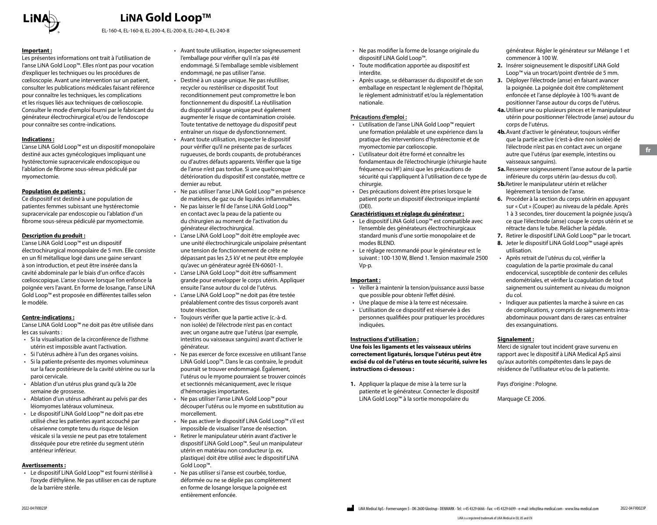

EL-160-4, EL-160-8, EL-200-4, EL-200-8, EL-240-4, EL-240-8

#### **Important :**

Les présentes informations ont trait à l'utilisation de l'anse LiNA Gold Loop™. Elles n'ont pas pour vocation d'expliquer les techniques ou les procédures de cœlioscopie. Avant une intervention sur un patient, consulter les publications médicales faisant référence pour connaître les techniques, les complications et les risques liés aux techniques de cœlioscopie. Consulter le mode d'emploi fourni par le fabricant du générateur électrochirurgical et/ou de l'endoscope pour connaître ses contre-indications.

#### **Indications :**

L'anse LiNA Gold Loop™ est un dispositif monopolaire destiné aux actes gynécologiques impliquant une hystérectomie supracervicale endoscopique ou l'ablation de fibrome sous-séreux pédiculé par myomectomie.

#### **Population de patients :**

Ce dispositif est destiné à une population de patientes femmes subissant une hystérectomie supracervicale par endoscopie ou l'ablation d'un fibrome sous-séreux pédiculé par myomectomie.

#### **Description du produit :**

L'anse LiNA Gold Loop™ est un dispositif électrochirurgical monopolaire de 5 mm. Elle consiste en un fil métallique logé dans une gaine servant à son introduction, et peut être insérée dans la cavité abdominale par le biais d'un orifice d'accès cœlioscopique. L'anse s'ouvre lorsque l'on enfonce la poignée vers l'avant. En forme de losange, l'anse LiNA Gold Loop™ est proposée en différentes tailles selon le modèle.

#### **Contre-indications :**

L'anse LiNA Gold Loop™ ne doit pas être utilisée dans les cas suivants :

- Si la visualisation de la circonférence de l'isthme utérin est impossible avant l'activation.
- Si l'utérus adhère à l'un des organes voisins.
- Si la patiente présente des myomes volumineux sur la face postérieure de la cavité utérine ou sur la paroi cervicale.
- Ablation d'un utérus plus grand qu'à la 20e semaine de grossesse.
- Ablation d'un utérus adhérant au pelvis par des léiomyomes latéraux volumineux.
- Le dispositif LiNA Gold Loop™ ne doit pas etre utilisé chez les patientes ayant accouché par césarienne compte tenu du risque de lésion vésicale si la vessie ne peut pas etre totalement disséquée pour etre retirée du segment utérin antérieur inférieur.

#### **Avertissements :**

• Le dispositif LiNA Gold Loop™ est fourni stérilisé à l'oxyde d'éthylène. Ne pas utiliser en cas de rupture de la barrière stérile.

- Avant toute utilisation, inspecter soigneusement l'emballage pour vérifier qu'il n'a pas été endommagé. Si l'emballage semble visiblement endommagé, ne pas utiliser l'anse.
- Destiné à un usage unique. Ne pas réutiliser, recycler ou restériliser ce dispositif. Tout reconditionnement peut compromettre le bon fonctionnement du dispositif. La réutilisation du dispositif à usage unique peut également augmenter le risque de contamination croisée. Toute tentative de nettoyage du dispositif peut entraîner un risque de dysfonctionnement.
- Avant toute utilisation, inspecter le dispositif pour vérifier qu'il ne présente pas de surfaces rugueuses, de bords coupants, de protubérances ou d'autres défauts apparents. Vérifier que la tige de l'anse n'est pas tordue. Si une quelconque détérioration du dispositif est constatée, mettre ce dernier au rebut.
- Ne pas utiliser l'anse LiNA Gold Loop™ en présence de matières, de gaz ou de liquides inflammables.
- Ne pas laisser le fil de l'anse LiNA Gold Loop™ en contact avec la peau de la patiente ou du chirurgien au moment de l'activation du générateur électrochirurgical.
- L'anse LiNA Gold Loop™ doit être employée avec une unité électrochirurgicale unipolaire présentant une tension de fonctionnement de crête ne dépassant pas les 2,5 kV et ne peut être employée qu'avec un générateur agréé EN-60601-1.
- L'anse LiNA Gold Loop™ doit être suffisamment grande pour envelopper le corps utérin. Appliquer ensuite l'anse autour du col de l'utérus.
- L'anse LiNA Gold Loop™ ne doit pas être testée préalablement contre des tissus corporels avant toute résection.
- Toujours vérifier que la partie active (c.-à-d. non isolée) de l'électrode n'est pas en contact avec un organe autre que l'utérus (par exemple, intestins ou vaisseaux sanguins) avant d'activer le générateur.
- Ne pas exercer de force excessive en utilisant l'anse LiNA Gold Loop™. Dans le cas contraire, le produit pourrait se trouver endommagé. Également, l'utérus ou le myome pourraient se trouver coincés et sectionnés mécaniquement, avec le risque d'hémorragies importantes.
- Ne pas utiliser l'anse LiNA Gold Loop™ pour découper l'utérus ou le myome en substitution au morcellement.
- Ne pas activer le dispositif LiNA Gold Loop™ s'il est impossible de visualiser l'anse de résection.
- Retirer le manipulateur utérin avant d'activer le dispositif LiNA Gold Loop™. Seul un manipulateur utérin en matériau non conducteur (p. ex. plastique) doit être utilisé avec le dispositif LiNA Gold Loop™.
- Ne pas utiliser si l'anse est courbée, tordue, déformée ou ne se déplie pas complètement en forme de losange lorsque la poignée est entièrement enfoncée.
- Ne pas modifier la forme de losange originale du dispositif LiNA Gold Loop™.
- Toute modification apportée au dispositif est interdite.
- Après usage, se débarrasser du dispositif et de son emballage en respectant le règlement de l'hôpital, le règlement administratif et/ou la réglementation nationale.

#### **Précautions d'emploi :**

- L'utilisation de l'anse LiNA Gold Loop™ requiert une formation préalable et une expérience dans la pratique des interventions d'hystérectomie et de myomectomie par cœlioscopie.
- L'utilisateur doit être formé et connaître les fondamentaux de l'électrochirurgie (chirurgie haute fréquence ou HF) ainsi que les précautions de sécurité qui s'appliquent à l'utilisation de ce type de chirurgie.
- Des précautions doivent être prises lorsque le patient porte un dispositif électronique implanté (DEI).

#### **Caractéristiques et réglage du générateur :**

- Le dispositif LiNA Gold Loop™ est compatible avec l'ensemble des générateurs électrochirurgicaux standard munis d'une sortie monopolaire et de modes BLEND.
- Le réglage recommandé pour le générateur est le suivant : 100-130 W, Blend 1. Tension maximale 2500 Vp-p.

#### **Important :**

- Veiller à maintenir la tension/puissance aussi basse que possible pour obtenir l'effet désiré.
- Une plaque de mise à la terre est nécessaire.
- L'utilisation de ce dispositif est réservée à des personnes qualifiées pour pratiquer les procédures indiquées.

#### **Instructions d'utilisation :**

**Une fois les ligaments et les vaisseaux utérins correctement ligaturés, lorsque l'utérus peut être excisé du col de l'utérus en toute sécurité, suivre les instructions ci-dessous :**

**1.** Appliquer la plaque de mise à la terre sur la patiente et le générateur. Connecter le dispositif LiNA Gold Loop™ à la sortie monopolaire du

générateur. Régler le générateur sur Mélange 1 et commencer à 100 W.

- **2.** Insérer soigneusement le dispositif LiNA Gold Loop™ via un trocart/point d'entrée de 5 mm.
- **3.** Déployer l'électrode (anse) en faisant avancer la poignée. La poignée doit être complètement enfoncée et l'anse déployée à 100 % avant de positionner l'anse autour du corps de l'utérus.
- **4a.**Utiliser une ou plusieurs pinces et le manipulateur utérin pour positionner l'électrode (anse) autour du corps de l'utérus.
- **4b.**Avant d'activer le générateur, toujours vérifier que la partie active (c'est-à-dire non isolée) de l'électrode n'est pas en contact avec un organe autre que l'utérus (par exemple, intestins ou vaisseaux sanguins).
- **5a.**Resserrer soigneusement l'anse autour de la partie inférieure du corps utérin (au-dessus du col).
- **5b.**Retirer le manipulateur utérin et relâcher légèrement la tension de l'anse.
- **6.** Procéder à la section du corps utérin en appuyant sur « Cut » (Couper) au niveau de la pédale. Après 1 à 3 secondes, tirer doucement la poignée jusqu'à ce que l'électrode (anse) coupe le corps utérin et se rétracte dans le tube. Relâcher la pédale.
- **7.** Retirer le dispositif LiNA Gold Loop™ par le trocart.
- **8.** Jeter le dispositif LiNA Gold Loop™ usagé après utilisation.
- Après retrait de l'utérus du col, vérifier la coagulation de la partie proximale du canal endocervical, susceptible de contenir des cellules endométriales, et vérifier la coagulation de tout saignement ou suintement au niveau du moignon du col.
- Indiquer aux patientes la marche à suivre en cas de complications, y compris de saignements intraabdominaux pouvant dans de rares cas entraîner des exsanguinations.

#### **Signalement :**

Merci de signaler tout incident grave survenu en rapport avec le dispositif à LiNA Medical ApS ainsi qu'aux autorités compétentes dans le pays de résidence de l'utilisateur et/ou de la patiente.

Pays d'origine : Pologne.

Marquage CE 2006.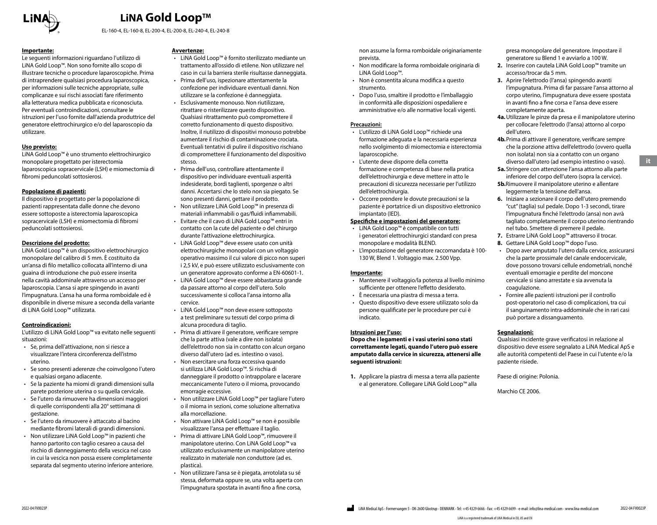

EL-160-4, EL-160-8, EL-200-4, EL-200-8, EL-240-4, EL-240-8

#### **Importante:**

Le seguenti informazioni riguardano l'utilizzo di LiNA Gold Loop™. Non sono fornite allo scopo di illustrare tecniche o procedure laparoscopiche. Prima di intraprendere qualsiasi procedura laparoscopica, per informazioni sulle tecniche appropriate, sulle complicanze e sui rischi associati fare riferimento alla letteratura medica pubblicata e riconosciuta. Per eventuali controindicazioni, consultare le istruzioni per l'uso fornite dall'azienda produttrice del generatore elettrochirurgico e/o del laparoscopio da utilizzare.

#### **Uso previsto:**

LiNA Gold Loop™ è uno strumento elettrochirurgico monopolare progettato per isterectomia laparoscopica sopracervicale (LSH) e miomectomia di fibromi peduncolati sottosierosi.

#### **Popolazione di pazienti:**

Il dispositivo è progettato per la popolazione di pazienti rappresentata dalle donne che devono essere sottoposte a isterectomia laparoscopica sopracervicale (LSH) e miomectomia di fibromi peduncolati sottosierosi.

#### **Descrizione del prodotto:**

LiNA Gold Loop™ è un dispositivo elettrochirurgico monopolare del calibro di 5 mm. È costituito da un'ansa di filo metallico collocata all'interno di una guaina di introduzione che può essere inserita nella cavità addominale attraverso un accesso per laparoscopia. L'ansa si apre spingendo in avanti l'impugnatura. L'ansa ha una forma romboidale ed è disponibile in diverse misure a seconda della variante di LiNA Gold Loop™ utilizzata.

#### **Controindicazioni:**

L'utilizzo di LiNA Gold Loop™ va evitato nelle seguenti situazioni:

- Se, prima dell'attivazione, non si riesce a visualizzare l'intera circonferenza dell'istmo uterino.
- Se sono presenti aderenze che coinvolgono l'utero e qualsiasi organo adiacente.
- Se la paziente ha miomi di grandi dimensioni sulla parete posteriore uterina o su quella cervicale.
- Se l'utero da rimuovere ha dimensioni maggiori di quelle corrispondenti alla 20° settimana di gestazione.
- Se l'utero da rimuovere è attaccato al bacino mediante fibromi laterali di grandi dimensioni.
- Non utilizzare LiNA Gold Loop™ in pazienti che hanno partorito con taglio cesareo a causa del rischio di danneggiamento della vescica nel caso in cui la vescica non possa essere completamente separata dal segmento uterino inferiore anteriore.

#### **Avvertenze:**

- LiNA Gold Loop™ è fornito sterilizzato mediante un trattamento all'ossido di etilene. Non utilizzare nel caso in cui la barriera sterile risultasse danneggiata.
- Prima dell'uso, ispezionare attentamente la confezione per individuare eventuali danni. Non utilizzare se la confezione è danneggiata.
- Esclusivamente monouso. Non riutilizzare, ritrattare o risterilizzare questo dispositivo. Qualsiasi ritrattamento può compromettere il corretto funzionamento di questo dispositivo. Inoltre, il riutilizzo di dispositivi monouso potrebbe aumentare il rischio di contaminazione crociata. Eventuali tentativi di pulire il dispositivo rischiano di compromettere il funzionamento del dispositivo stesso.
- Prima dell'uso, controllare attentamente il dispositivo per individuare eventuali asperità indesiderate, bordi taglienti, sporgenze o altri danni. Accertarsi che lo stelo non sia piegato. Se sono presenti danni, gettare il prodotto.
- Non utilizzare LiNA Gold Loop™ in presenza di materiali infiammabili o gas/fluidi infiammabili.
- Evitare che il cavo di LiNA Gold Loop™ entri in contatto con la cute del paziente o del chirurgo durante l'attivazione elettrochirurgica.
- LiNA Gold Loop™ deve essere usato con unità elettrochirurgiche monopolari con un voltaggio operativo massimo il cui valore di picco non superi i 2,5 kV, e può essere utilizzato esclusivamente con un generatore approvato conforme a EN-60601-1.
- LiNA Gold Loop™ deve essere abbastanza grande da passare attorno al corpo dell'utero. Solo successivamente si colloca l'ansa intorno alla cervice.
- LiNA Gold Loop™ non deve essere sottoposto a test preliminare su tessuti del corpo prima di alcuna procedura di taglio.
- Prima di attivare il generatore, verificare sempre che la parte attiva (vale a dire non isolata) dell'elettrodo non sia in contatto con alcun organo diverso dall'utero (ad es. intestino o vaso).
- Non esercitare una forza eccessiva quando si utilizza LiNA Gold Loop™. Si rischia di danneggiare il prodotto o intrappolare e lacerare meccanicamente l'utero o il mioma, provocando emorragie eccessive.
- Non utilizzare LiNA Gold Loop™ per tagliare l'utero o il mioma in sezioni, come soluzione alternativa alla morcellazione.
- Non attivare LiNA Gold Loop™ se non è possibile visualizzare l'ansa per effettuare il taglio.
- Prima di attivare LiNA Gold Loop™, rimuovere il manipolatore uterino. Con LiNA Gold Loop™ va utilizzato esclusivamente un manipolatore uterino realizzato in materiale non conduttore (ad es. plastica).
- Non utilizzare l'ansa se è piegata, arrotolata su sé stessa, deformata oppure se, una volta aperta con l'impugnatura spostata in avanti fino a fine corsa,

non assume la forma romboidale originariamente prevista.

- Non modificare la forma romboidale originaria di LiNA Gold Loop™.
- Non è consentita alcuna modifica a questo strumento.
- Dopo l'uso, smaltire il prodotto e l'imballaggio in conformità alle disposizioni ospedaliere e amministrative e/o alle normative locali vigenti.

#### **Precauzioni:**

- L'utilizzo di LiNA Gold Loop™ richiede una formazione adeguata e la necessaria esperienza nello svolgimento di miomectomia e isterectomia laparoscopiche.
- L'utente deve disporre della corretta formazione e competenza di base nella pratica dell'elettrochirurgia e deve mettere in atto le precauzioni di sicurezza necessarie per l'utilizzo dell'elettrochirurgia.
- Occorre prendere le dovute precauzioni se la paziente è portatrice di un dispositivo elettronico impiantato (IED).

### **Specifiche e impostazioni del generatore:**

- LiNA Gold Loop™ è compatibile con tutti i generatori elettrochirurgici standard con presa monopolare e modalità BLEND.
- L'impostazione del generatore raccomandata è 100- 130 W, Blend 1. Voltaggio max. 2.500 Vpp.

#### **Importante:**

- Mantenere il voltaggio/la potenza al livello minimo sufficiente per ottenere l'effetto desiderato.
- È necessaria una piastra di messa a terra.
- Questo dispositivo deve essere utilizzato solo da persone qualificate per le procedure per cui è indicato.

#### **Istruzioni per l'uso:**

**Dopo che i legamenti e i vasi uterini sono stati correttamente legati, quando l'utero può essere amputato dalla cervice in sicurezza, attenersi alle seguenti istruzioni:**

**1.** Applicare la piastra di messa a terra alla paziente e al generatore. Collegare LiNA Gold Loop™ alla

presa monopolare del generatore. Impostare il generatore su Blend 1 e avviarlo a 100 W.

- **2.** Inserire con cautela LiNA Gold Loop™ tramite un accesso/trocar da 5 mm.
- **3.** Aprire l'elettrodo (l'ansa) spingendo avanti l'impugnatura. Prima di far passare l'ansa attorno al corpo uterino, l'impugnatura deve essere spostata in avanti fino a fine corsa e l'ansa deve essere completamente aperta.
- **4a.**Utilizzare le pinze da presa e il manipolatore uterino per collocare l'elettrodo (l'ansa) attorno al corpo dell'utero.
- **4b.**Prima di attivare il generatore, verificare sempre che la porzione attiva dell'elettrodo (ovvero quella non isolata) non sia a contatto con un organo diverso dall'utero (ad esempio intestino o vaso).
- **5a.**Stringere con attenzione l'ansa attorno alla parte inferiore del corpo dell'utero (sopra la cervice).
- **5b.**Rimuovere il manipolatore uterino e allentare leggermente la tensione dell'ansa.
- **6.** Iniziare a sezionare il corpo dell'utero premendo "cut" (taglia) sul pedale. Dopo 1-3 secondi, tirare l'impugnatura finché l'elettrodo (ansa) non avrà tagliato completamente il corpo uterino rientrando nel tubo. Smettere di premere il pedale.
- **7.** Estrarre LiNA Gold Loop™ attraverso il trocar.
- **8.** Gettare LiNA Gold Loop™ dopo l'uso.
- Dopo aver amputato l'utero dalla cervice, assicurarsi che la parte prossimale del canale endocervicale, dove possono trovarsi cellule endometriali, nonché eventuali emorragie e perdite del moncone cervicale si siano arrestate e sia avvenuta la coagulazione.
- Fornire alle pazienti istruzioni per il controllo post-operatorio nel caso di complicazioni, tra cui il sanguinamento intra-addominale che in rari casi può portare a dissanguamento.

#### **Segnalazioni:**

Qualsiasi incidente grave verificatosi in relazione al dispositivo deve essere segnalato a LiNA Medical ApS e alle autorità competenti del Paese in cui l'utente e/o la paziente risiede.

Paese di origine: Polonia.

Marchio CE 2006.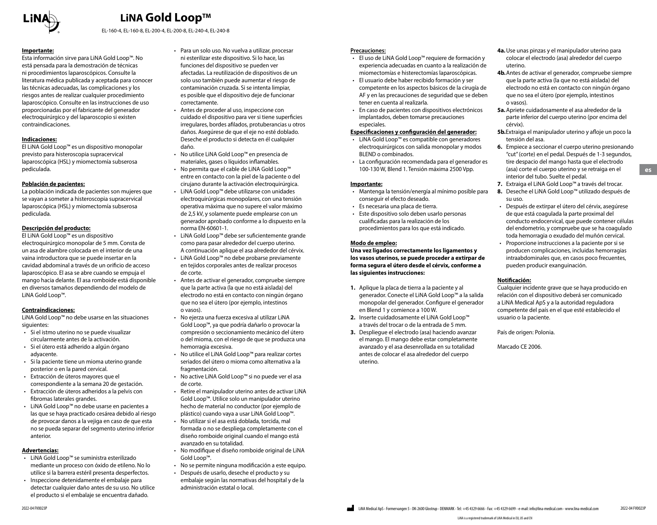

EL-160-4, EL-160-8, EL-200-4, EL-200-8, EL-240-4, EL-240-8

#### **Importante:**

Esta información sirve para LiNA Gold Loop™. No está pensada para la demostración de técnicas ni procedimientos laparoscópicos. Consulte la literatura médica publicada y aceptada para conocer las técnicas adecuadas, las complicaciones y los riesgos antes de realizar cualquier procedimiento laparoscópico. Consulte en las instrucciones de uso proporcionadas por el fabricante del generador electroquirúrgico y del laparoscopio si existen contraindicaciones.

#### **Indicaciones:**

El LiNA Gold Loop™ es un dispositivo monopolar previsto para histeroscopia supracervical laparoscópica (HSL) y miomectomía subserosa pediculada.

#### **Población de pacientes:**

La población indicada de pacientes son mujeres que se vayan a someter a histeroscopia supracervical laparoscópica (HSL) y miomectomía subserosa pediculada.

#### **Descripción del producto:**

El LiNA Gold Loop™ es un dispositivo electroquirúrgico monopolar de 5 mm. Consta de un asa de alambre colocada en el interior de una vaina introductora que se puede insertar en la cavidad abdominal a través de un orificio de acceso laparoscópico. El asa se abre cuando se empuja el mango hacia delante. El asa romboide está disponible en diversos tamaños dependiendo del modelo de LiNA Gold Loop™.

#### **Contraindicaciones:**

LiNA Gold Loop™ no debe usarse en las situaciones siguientes:

- Si el istmo uterino no se puede visualizar circularmente antes de la activación.
- Si el útero está adherido a algún órgano adyacente.
- Si la paciente tiene un mioma uterino grande posterior o en la pared cervical.
- Extracción de úteros mayores que el correspondiente a la semana 20 de gestación.
- Extracción de úteros adheridos a la pelvis con fibromas laterales grandes.
- LiNA Gold Loop™ no debe usarse en pacientes a las que se haya practicado cesárea debido al riesgo de provocar danos a la vejiga en caso de que esta no se pueda separar del segmento uterino inferior anterior.

#### **Advertencias:**

- LiNA Gold Loop™ se suministra esterilizado mediante un proceso con óxido de etileno. No lo utilice si la barrera estéril presenta desperfectos.
- Inspeccione detenidamente el embalaje para detectar cualquier daño antes de su uso. No utilice el producto si el embalaje se encuentra dañado.
- Para un solo uso. No vuelva a utilizar, procesar ni esterilizar este dispositivo. Si lo hace, las funciones del dispositivo se pueden ver afectadas. La reutilización de dispositivos de un solo uso también puede aumentar el riesgo de contaminación cruzada. Si se intenta limpiar, es posible que el dispositivo deje de funcionar correctamente.
- Antes de proceder al uso, inspeccione con cuidado el dispositivo para ver si tiene superficies irregulares, bordes afilados, protuberancias u otros daños. Asegúrese de que el eje no esté doblado. Deseche el producto si detecta en él cualquier daño.
- No utilice LiNA Gold Loop™ en presencia de materiales, gases o líquidos inflamables. • No permita que el cable de LiNA Gold Loop™ entre en contacto con la piel de la paciente o del cirujano durante la activación electroquirúrgica.
- LiNA Gold Loop™ debe utilizarse con unidades electroquirúrgicas monopolares, con una tensión operativa máxima que no supere el valor máximo de 2,5 kV, y solamente puede emplearse con un generador aprobado conforme a lo dispuesto en la norma EN-60601-1.
- LiNA Gold Loop™ debe ser suficientemente grande como para pasar alrededor del cuerpo uterino. A continuación aplique el asa alrededor del cérvix.
- LiNA Gold Loop™ no debe probarse previamente en tejidos corporales antes de realizar procesos de corte.
- Antes de activar el generador, compruebe siempre que la parte activa (la que no está aislada) del electrodo no está en contacto con ningún órgano que no sea el útero (por ejemplo, intestinos o vasos).
- No ejerza una fuerza excesiva al utilizar LiNA Gold Loop™, ya que podría dañarlo o provocar la compresión o seccionamiento mecánico del útero o del mioma, con el riesgo de que se produzca una hemorragia excesiva.
- No utilice el LiNA Gold Loop™ para realizar cortes seriados del útero o mioma como alternativa a la fragmentación.
- No active LiNA Gold Loop™ si no puede ver el asa de corte.
- Retire el manipulador uterino antes de activar LiNA Gold Loop™. Utilice solo un manipulador uterino hecho de material no conductor (por ejemplo de plástico) cuando vaya a usar LiNA Gold Loop™.
- No utilizar si el asa está doblada, torcida, mal formada o no se despliega completamente con el diseño romboide original cuando el mango está avanzado en su totalidad.
- No modifique el diseño romboide original de LiNA Gold Loop™.
- No se permite ninguna modificación a este equipo.
- Después de usarlo, deseche el producto y su embalaje según las normativas del hospital y de la administración estatal o local.

#### **Precauciones:**

- El uso de LiNA Gold Loop™ requiere de formación y experiencia adecuadas en cuanto a la realización de miomectomías e histerectomías laparoscópicas.
- El usuario debe haber recibido formación y ser competente en los aspectos básicos de la cirugía de AF y en las precauciones de seguridad que se deben tener en cuenta al realizarla.
- En caso de pacientes con dispositivos electrónicos implantados, deben tomarse precauciones especiales.

#### **Especificaciones y configuración del generador:**

- LiNA Gold Loop™ es compatible con generadores electroquirúrgicos con salida monopolar y modos BLEND o combinados.
- La configuración recomendada para el generador es 100-130 W, Blend 1. Tensión máxima 2500 Vpp.

#### **Importante:**

- Mantenga la tensión/energía al mínimo posible para conseguir el efecto deseado.
- Es necesaria una placa de tierra.
- Este dispositivo solo deben usarlo personas cualificadas para la realización de los procedimientos para los que está indicado.

#### **Modo de empleo:**

**Una vez ligados correctamente los ligamentos y los vasos uterinos, se puede proceder a extirpar de forma segura el útero desde el cérvix, conforme a las siguientes instrucciones:**

- **1.** Aplique la placa de tierra a la paciente y al generador. Conecte el LiNA Gold Loop™ a la salida monopolar del generador. Configure el generador en Blend 1 y comience a 100 W.
- **2.** Inserte cuidadosamente el LiNA Gold Loop™ a través del trocar o de la entrada de 5 mm.
- **3.** Despliegue el electrodo (asa) haciendo avanzar el mango. El mango debe estar completamente avanzado y el asa desenrollada en su totalidad antes de colocar el asa alrededor del cuerpo uterino.
- **4a.**Use unas pinzas y el manipulador uterino para colocar el electrodo (asa) alrededor del cuerpo uterino.
- **4b.**Antes de activar el generador, compruebe siempre que la parte activa (la que no está aislada) del electrodo no está en contacto con ningún órgano que no sea el útero (por ejemplo, intestinos o vasos).
- **5a.**Apriete cuidadosamente el asa alrededor de la parte inferior del cuerpo uterino (por encima del cérvix).
- **5b.**Extraiga el manipulador uterino y afloje un poco la tensión del asa.
- **6.** Empiece a seccionar el cuerpo uterino presionando "cut" (corte) en el pedal. Después de 1-3 segundos, tire despacio del mango hasta que el electrodo (asa) corte el cuerpo uterino y se retraiga en el interior del tubo. Suelte el pedal.
	-
- **7.** Extraiga el LiNA Gold Loop™ a través del trocar.
- **8.** Deseche el LiNA Gold Loop™ utilizado después de su uso.
- Después de extirpar el útero del cérvix, asegúrese de que está coagulada la parte proximal del conducto endocervical, que puede contener células del endometrio, y compruebe que se ha coagulado toda hemorragia o exudado del muñón cervical.
- Proporcione instrucciones a la paciente por si se producen complicaciones, incluidas hemorragias intraabdominales que, en casos poco frecuentes, pueden producir exanguinación.

#### **Notificación:**

Cualquier incidente grave que se haya producido en relación con el dispositivo deberá ser comunicado a LiNA Medical ApS y a la autoridad reguladora competente del país en el que esté establecido el usuario o la paciente.

País de origen: Polonia.

Marcado CE 2006.

**es**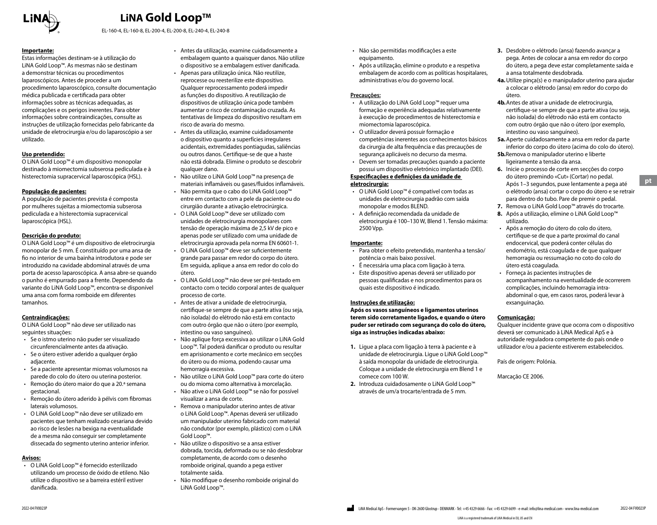

EL-160-4, EL-160-8, EL-200-4, EL-200-8, EL-240-4, EL-240-8

#### **Importante:**

Estas informações destinam-se à utilização do LiNA Gold Loop™. As mesmas não se destinam a demonstrar técnicas ou procedimentos laparoscópicos. Antes de proceder a um procedimento laparoscópico, consulte documentação médica publicada e certificada para obter informações sobre as técnicas adequadas, as complicações e os perigos inerentes. Para obter informações sobre contraindicações, consulte as instruções de utilização fornecidas pelo fabricante da unidade de eletrocirurgia e/ou do laparoscópio a ser utilizado.

#### **Uso pretendido:**

O LiNA Gold Loop™ é um dispositivo monopolar destinado à miomectomia subserosa pediculada e à histerectomia supracervical laparoscópica (HSL).

#### **População de pacientes:**

A população de pacientes prevista é composta por mulheres sujeitas a miomectomia subserosa pediculada e a histerectomia supracervical laparoscópica (HSL).

#### **Descrição do produto:**

O LiNA Gold Loop™ é um dispositivo de eletrocirurgia monopolar de 5 mm. É constituído por uma ansa de fio no interior de uma bainha introdutora e pode ser introduzido na cavidade abdominal através de uma porta de acesso laparoscópica. A ansa abre-se quando o punho é empurrado para a frente. Dependendo da variante do LiNA Gold Loop™, encontra-se disponível uma ansa com forma romboide em diferentes tamanhos.

#### **Contraindicações:**

O LiNA Gold Loop™ não deve ser utilizado nas seguintes situações:

- Se o istmo uterino não puder ser visualizado circunferencialmente antes da ativação.
- Se o útero estiver aderido a qualquer órgão adjacente.
- Se a paciente apresentar miomas volumosos na parede do colo do útero ou uterina posterior.
- Remoção do útero maior do que a 20.ª semana gestacional.
- Remoção do útero aderido à pélvis com fibromas laterais volumosos.
- O LiNA Gold Loop™ não deve ser utilizado em pacientes que tenham realizado cesariana devido ao risco de lesões na bexiga na eventualidade de a mesma não conseguir ser completamente dissecada do segmento uterino anterior inferior.

#### **Avisos:**

• O LiNA Gold Loop™ é fornecido esterilizado utilizando um processo de óxido de etileno. Não utilize o dispositivo se a barreira estéril estiver danificada.

- Antes da utilização, examine cuidadosamente a embalagem quanto a quaisquer danos. Não utilize o dispositivo se a embalagem estiver danificada.
- Apenas para utilização única. Não reutilize, reprocesse ou reesterilize este dispositivo. Qualquer reprocessamento poderá impedir as funções do dispositivo. A reutilização de dispositivos de utilização única pode também aumentar o risco de contaminação cruzada. As tentativas de limpeza do dispositivo resultam em risco de avaria do mesmo.
- Antes da utilização, examine cuidadosamente o dispositivo quanto a superfícies irregulares acidentais, extremidades pontiagudas, saliências ou outros danos. Certifique-se de que a haste não está dobrada. Elimine o produto se descobrir qualquer dano.
- Não utilize o LiNA Gold Loop™ na presença de materiais inflamáveis ou gases/fluidos inflamáveis.
- Não permita que o cabo do LiNA Gold Loop™ entre em contacto com a pele da paciente ou do cirurgião durante a ativação eletrocirúrgica.
- O LiNA Gold Loop™ deve ser utilizado com unidades de eletrocirurgia monopolares com tensão de operação máxima de 2,5 kV de pico e apenas pode ser utilizado com uma unidade de eletrocirurgia aprovada pela norma EN 60601-1.
- O LiNA Gold Loop™ deve ser suficientemente grande para passar em redor do corpo do útero. Em seguida, aplique a ansa em redor do colo do útero.
- O LiNA Gold Loop™ não deve ser pré-testado em contacto com o tecido corporal antes de qualquer processo de corte.
- Antes de ativar a unidade de eletrocirurgia, certifique-se sempre de que a parte ativa (ou seja, não isolada) do elétrodo não está em contacto com outro órgão que não o útero (por exemplo, intestino ou vaso sanguíneo).
- Não aplique força excessiva ao utilizar o LiNA Gold Loop™. Tal poderá danificar o produto ou resultar em aprisionamento e corte mecânico em secções do útero ou do mioma, podendo causar uma hemorragia excessiva.
- Não utilize o LiNA Gold Loop™ para corte do útero ou do mioma como alternativa à morcelação.
- Não ative o LiNA Gold Loop™ se não for possível visualizar a ansa de corte.
- Remova o manipulador uterino antes de ativar o LiNA Gold Loop™. Apenas deverá ser utilizado um manipulador uterino fabricado com material não condutor (por exemplo, plástico) com o LiNA Gold Loop™.
- Não utilize o dispositivo se a ansa estiver dobrada, torcida, deformada ou se não desdobrar completamente, de acordo com o desenho romboide original, quando a pega estiver totalmente saída.
- Não modifique o desenho romboide original do LiNA Gold Loop™.
- Não são permitidas modificações a este equipamento.
- Após a utilização, elimine o produto e a respetiva embalagem de acordo com as políticas hospitalares, administrativas e/ou do governo local.

#### **Precauções:**

- A utilização do LiNA Gold Loop™ requer uma formação e experiência adequadas relativamente à execução de procedimentos de histerectomia e miomectomia laparoscópica.
- O utilizador deverá possuir formação e competências inerentes aos conhecimentos básicos da cirurgia de alta frequência e das precauções de segurança aplicáveis no decurso da mesma.
- Devem ser tomadas precauções quando a paciente possui um dispositivo eletrónico implantado (DEI).

#### **Especificações e definições da unidade de eletrocirurgia:**

- O LiNA Gold Loop™ é compatível com todas as unidades de eletrocirurgia padrão com saída monopolar e modos BLEND.
- A definição recomendada da unidade de eletrocirurgia é 100–130 W, Blend 1. Tensão máxima: 2500 Vpp.

#### **Importante:**

- Para obter o efeito pretendido, mantenha a tensão/ potência o mais baixo possível.
- É necessária uma placa com ligação à terra.
- Este dispositivo apenas deverá ser utilizado por pessoas qualificadas e nos procedimentos para os quais este dispositivo é indicado.

#### **Instruções de utilização:**

**Após os vasos sanguíneos e ligamentos uterinos terem sido corretamente ligados, e quando o útero puder ser retirado com segurança do colo do útero, siga as instruções indicadas abaixo:**

- **1.** Ligue a placa com ligação à terra à paciente e à unidade de eletrocirurgia. Ligue o LiNA Gold Loop™ à saída monopolar da unidade de eletrocirurgia. Coloque a unidade de eletrocirurgia em Blend 1 e comece com 100 W.
- **2.** Introduza cuidadosamente o LiNA Gold Loop™ através de um/a trocarte/entrada de 5 mm.
- **3.** Desdobre o elétrodo (ansa) fazendo avançar a pega. Antes de colocar a ansa em redor do corpo do útero, a pega deve estar completamente saída e a ansa totalmente desdobrada.
- **4a.**Utilize pinça(s) e o manipulador uterino para ajudar a colocar o elétrodo (ansa) em redor do corpo do útero.
- **4b.**Antes de ativar a unidade de eletrocirurgia, certifique-se sempre de que a parte ativa (ou seja, não isolada) do elétrodo não está em contacto com outro órgão que não o útero (por exemplo, intestino ou vaso sanguíneo).
- **5a.**Aperte cuidadosamente a ansa em redor da parte inferior do corpo do útero (acima do colo do útero).
- **5b.**Remova o manipulador uterino e liberte ligeiramente a tensão da ansa.
- **6.** Inicie o processo de corte em secções do corpo do útero premindo «Cut» (Cortar) no pedal. Após 1–3 segundos, puxe lentamente a pega até o elétrodo (ansa) cortar o corpo do útero e se retrair para dentro do tubo. Pare de premir o pedal.
- **7.** Remova o LiNA Gold Loop™ através do trocarte.
- **8.** Após a utilização, elimine o LiNA Gold Loop™ utilizado.
- Após a remoção do útero do colo do útero, certifique-se de que a parte proximal do canal endocervical, que poderá conter células do endométrio, está coagulada e de que qualquer hemorragia ou ressumação no coto do colo do útero está coagulada.
- Forneça às pacientes instruções de acompanhamento na eventualidade de ocorrerem complicações, incluindo hemorragia intraabdominal o que, em casos raros, poderá levar à exsanguinação.

#### **Comunicação:**

Qualquer incidente grave que ocorra com o dispositivo deverá ser comunicado à LiNA Medical ApS e à autoridade reguladora competente do país onde o utilizador e/ou a paciente estiverem estabelecidos.

País de origem: Polónia.

Marcação CE 2006.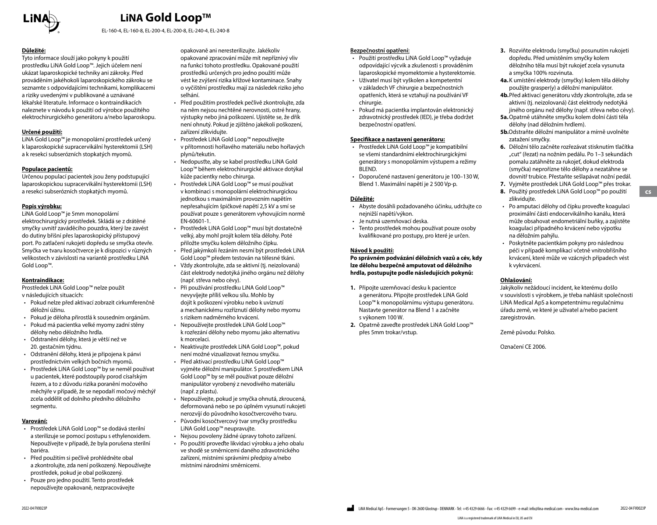

EL-160-4, EL-160-8, EL-200-4, EL-200-8, EL-240-4, EL-240-8

#### **Důležité:**

Tyto informace slouží jako pokyny k použití prostředku LiNA Gold Loop™. Jejich účelem není ukázat laparoskopické techniky ani zákroky. Před prováděním jakéhokoli laparoskopického zákroku se seznamte s odpovídajícími technikami, komplikacemi a riziky uvedenými v publikované a uznávané lékařské literatuře. Informace o kontraindikacích naleznete v návodu k použití od výrobce použitého elektrochirurgického generátoru a/nebo laparoskopu.

#### **Určené použití:**

LiNA Gold Loop™ je monopolární prostředek určený k laparoskopické supracervikální hysterektomii (LSH) a k resekci subserózních stopkatých myomů.

#### **Populace pacientů:**

Určenou populací pacientek jsou ženy podstupující laparoskopickou supracervikální hysterektomii (LSH) a resekci subserózních stopkatých myomů.

#### **Popis výrobku:**

LiNA Gold Loop™ je 5mm monopolární elektrochirurgický prostředek. Skládá se z drátěné smyčky uvnitř zaváděcího pouzdra, který lze zavést do dutiny břišní přes laparoskopický přístupový port. Po zatlačení rukojeti dopředu se smyčka otevře. Smyčka ve tvaru kosočtverce je k dispozici v různých velikostech v závislosti na variantě prostředku LiNA Gold Loop™.

#### **Kontraindikace:**

Prostředek LiNA Gold Loop™ nelze použít v následujících situacích:

- Pokud nelze před aktivací zobrazit cirkumferenčně děložní úžinu.
- Pokud je děloha přirostlá k sousedním orgánům.
- Pokud má pacientka velké myomy zadní stěny dělohy nebo děložního hrdla. • Odstranění dělohy, která je větší než ve
- 20. gestačním týdnu.
- Odstranění dělohy, která je připojena k pánvi prostřednictvím velkých bočních myomů.
- Prostředek LiNA Gold Loop™ by se neměl používat u pacientek, které podstoupily porod císařským řezem, a to z důvodu rizika poranění močového měchýře v případě, že se nepodaří močový měchýř zcela oddělit od dolního předního děložního segmentu.

#### **Varování:**

- Prostředek LiNA Gold Loop™ se dodává sterilní a sterilizuje se pomocí postupu s ethylenoxidem. Nepoužívejte v případě, že byla porušena sterilní bariéra.
- Před použitím si pečlivě prohlédněte obal a zkontrolujte, zda není poškozený. Nepoužívejte prostředek, pokud je obal poškozený.
- Pouze pro jedno použití. Tento prostředek nepoužívejte opakovaně, nezpracovávejte

opakovaně ani neresterilizujte. Jakékoliv opakované zpracování může mít nepříznivý vliv na funkci tohoto prostředku. Opakované použití prostředků určených pro jedno použití může vést ke zvýšení rizika křížové kontaminace. Snahy o vyčištění prostředku mají za následek riziko jeho selhání.

- Před použitím prostředek pečlivě zkontrolujte, zda na něm nejsou nechtěné nerovnosti, ostré hrany, výstupky nebo jiná poškození. Ujistěte se, že dřík není ohnutý. Pokud je zjištěno jakékoli poškození, zařízení zlikvidujte.
- Prostředek LiNA Gold Loop™ nepoužívejte v přítomnosti hořlavého materiálu nebo hořlavých plynů/tekutin.
- .<br>• Nedopusťte, aby se kabel prostředku LiNA Gold Loop™ během elektrochirurgické aktivace dotýkal kůže pacientky nebo chirurga.
- Prostředek LiNA Gold Loop™ se musí používat v kombinaci s monopolární elektrochirurgickou jednotkou s maximálním provozním napětím nepřesahujícím špičkové napětí 2,5 kV a smí se používat pouze s generátorem vyhovujícím normě EN-60601-1.
- Prostředek LiNA Gold Loop™ musí být dostatečně velký, aby mohl projít kolem těla dělohy. Poté přiložte smyčku kolem děložního čípku.
- Před jakýmkoli řezáním nesmí být prostředek LiNA Gold Loop™ předem testován na tělesné tkáni.
- Vždy zkontrolujte, zda se aktivní (tj. neizolovaná) část elektrody nedotýká jiného orgánu než dělohy (např. střeva nebo cévy).
- Při používání prostředku LiNA Gold Loop™ nevyvíjejte příliš velkou sílu. Mohlo by dojít k poškození výrobku nebo k uvíznutí a mechanickému rozříznutí dělohy nebo myomu s rizikem nadměrného krvácení.
- Nepoužívejte prostředek LiNA Gold Loop™ k rozřezání dělohy nebo myomu jako alternativu k morcelaci.
- Neaktivujte prostředek LiNA Gold Loop™, pokud není možné vizualizovat řeznou smyčku.
- Před aktivací prostředku LiNA Gold Loop™ vyjměte děložní manipulátor. S prostředkem LiNA Gold Loop™ by se měl používat pouze děložní manipulátor vyrobený z nevodivého materiálu (např. z plastu).
- Nepoužívejte, pokud je smyčka ohnutá, zkroucená, deformovaná nebo se po úplném vysunutí rukojeti nerozvíjí do původního kosočtvercového tvaru.
- Původní kosočtvercový tvar smyčky prostředku LiNA Gold Loop™ neupravujte.
- Nejsou povoleny žádné úpravy tohoto zařízení. • Po použití proveďte likvidaci výrobku a jeho obalu ve shodě se směrnicemi daného zdravotnického zařízení, místními správními předpisy a/nebo místními národními směrnicemi.

#### **Bezpečnostní opatření:**

- Použití prostředku LiNA Gold Loop™ vyžaduje odpovídající výcvik a zkušenosti s prováděním laparoskopické myomektomie a hysterektomie.
- Uživatel musí být vyškolen a kompetentní v základech VF chirurgie a bezpečnostních opatřeních, která se vztahují na používání VF chirurgie.
- Pokud má pacientka implantován elektronický zdravotnický prostředek (IED), je třeba dodržet bezpečnostní opatření.

#### **Specifikace a nastavení generátoru:**

- Prostředek LiNA Gold Loop™ je kompatibilní se všemi standardními elektrochirurgickými generátory s monopolárním výstupem a režimy BLEND.
- Doporučené nastavení generátoru je 100–130 W, Blend 1. Maximální napětí je 2 500 Vp-p.

#### **Důležité:**

- Abyste dosáhli požadovaného účinku, udržujte co nejnižší napětí/výkon.
- Je nutná uzemňovací deska.
- Tento prostředek mohou používat pouze osoby kvalifikované pro postupy, pro které je určen.

#### **Návod k použití:**

**Po správném podvázání děložních vazů a cév, kdy lze dělohu bezpečně amputovat od děložního hrdla, postupujte podle následujících pokynů:**

- **1.** Připojte uzemňovací desku k pacientce a generátoru. Připojte prostředek LiNA Gold Loop™ k monopolárnímu výstupu generátoru. Nastavte generátor na Blend 1 a začněte s výkonem 100 W.
- **2.** Opatrně zaveďte prostředek LiNA Gold Loop™ přes 5mm trokar/vstup.
- **3.** Rozviňte elektrodu (smyčku) posunutím rukojeti dopředu. Před umístěním smyčky kolem děložního těla musí být rukojeť zcela vysunuta a smyčka 100% rozvinuta.
- **4a.**K umístění elektrody (smyčky) kolem těla dělohy použijte grasper(y) a děložní manipulátor.
- **4b.**Před aktivací generátoru vždy zkontrolujte, zda se aktivní (tj. neizolovaná) část elektrody nedotýká jiného orgánu než dělohy (např. střeva nebo cévy).
- **5a.**Opatrně utáhněte smyčku kolem dolní části těla dělohy (nad děložním hrdlem).
- **5b.**Odstraňte děložní manipulátor a mírně uvolněte zatažení smyčky.
- **6.** Děložní tělo začněte rozřezávat stisknutím tlačítka "cut" (řezat) na nožním pedálu. Po 1–3 sekundách pomalu zatáhněte za rukojeť, dokud elektroda (smyčka) neprořízne tělo dělohy a nezatáhne se dovnitř trubice. Přestaňte sešlapávat nožní pedál.
- **7.** Vyjměte prostředek LiNA Gold Loop™ přes trokar. **8.** Použitý prostředek LiNA Gold Loop™ po použití zlikviduite.

**cs**

- Po amputaci dělohy od čípku proveďte koagulaci proximální části endocervikálního kanálu, která může obsahovat endometriální buňky, a zajistěte koagulaci případného krvácení nebo výpotku na děložním pahýlu.
- Poskytněte pacientkám pokyny pro následnou péči v případě komplikací včetně vnitrobřišního krvácení, které může ve vzácných případech vést k vykrvácení.

#### **Ohlašování:**

Jakýkoliv nežádoucí incident, ke kterému došlo v souvislosti s výrobkem, je třeba nahlásit společnosti LiNA Medical ApS a kompetentnímu regulačnímu úřadu země, ve které je uživatel a/nebo pacient zaregistrován.

Země původu: Polsko.

Označení CE 2006.

LiNA is a registered trademark of LiNA Medical in EU, US and CN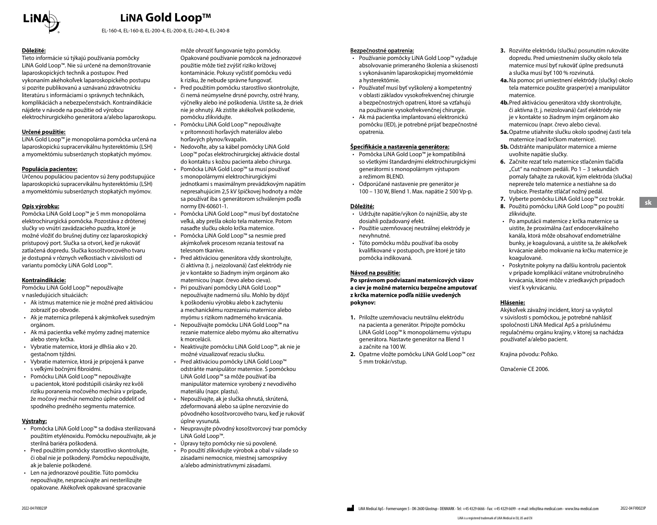

EL-160-4, EL-160-8, EL-200-4, EL-200-8, EL-240-4, EL-240-8

#### **Dôležité:**

Tieto informácie sú týkajú používania pomôcky LiNA Gold Loop™. Nie sú určené na demonštrovanie laparoskopických techník a postupov. Pred vykonaním akéhokoľvek laparoskopického postupu si pozrite publikovanú a uznávanú zdravotnícku literatúru s informáciami o správnych technikách, komplikáciách a nebezpečenstvách. Kontraindikácie nájdete v návode na použitie od výrobcu elektrochirurgického generátora a/alebo laparoskopu.

#### **Určené použitie:**

LiNA Gold Loop™ je monopolárna pomôcka určená na laparoskopickú supracervikálnu hysterektómiu (LSH) a myomektómiu subseróznych stopkatých myómov.

#### **Populácia pacientov:**

Určenou populáciou pacientov sú ženy podstupujúce laparoskopickú supracervikálnu hysterektómiu (LSH) a myomektómiu subseróznych stopkatých myómov.

#### **Opis výrobku:**

Pomôcka LiNA Gold Loop™ je 5 mm monopolárna elektrochirurgická pomôcka. Pozostáva z drôtenej slučky vo vnútri zavádzacieho puzdra, ktoré je možné vložiť do brušnej dutiny cez laparoskopický prístupový port. Slučka sa otvorí, keď je rukoväť zatlačená dopredu. Slučka kosoštvorcového tvaru je dostupná v rôznych veľkostiach v závislosti od variantu pomôcky LiNA Gold Loop™.

#### **Kontraindikácie:**

Pomôcku LiNA Gold Loop™ nepoužívajte v nasledujúcich situáciách:

- Ak istmus maternice nie je možné pred aktiváciou zobraziť po obvode.
- Ak je maternica prilepená k akýmkoľvek susedným orgánom.
- Ak má pacientka veľké myómy zadnej maternice alebo steny krčka.
- Vybratie maternice, ktorá je dlhšia ako v 20. gestačnom týždni.
- Vybratie maternice, ktorá je pripojená k panve s veľkými bočnými fibroidmi.
- Pomôcku LiNA Gold Loop™ nepoužívajte u pacientok, ktoré podstúpili cisársky rez kvôli riziku poranenia močového mechúra v prípade, že močový mechúr nemožno úplne oddeliť od spodného predného segmentu maternice.

#### **Výstrahy:**

- Pomôcka LiNA Gold Loop™ sa dodáva sterilizovaná použitím etylénoxidu. Pomôcku nepoužívajte, ak je sterilná bariéra poškodená.
- Pred použitím pomôcky starostlivo skontrolujte, či obal nie je poškodený. Pomôcku nepoužívajte, ak je balenie poškodené.
- Len na jednorazové použitie. Túto pomôcku nepoužívajte, nespracúvajte ani nesterilizujte opakovane. Akékoľvek opakované spracovanie

môže ohroziť fungovanie tejto pomôcky. Opakované používanie pomôcok na jednorazové použitie môže tiež zvýšiť riziko krížovej kontaminácie. Pokusy vyčistiť pomôcku vedú k riziku, že nebude správne fungovať.

- Pred použitím pomôcku starostlivo skontrolujte, či nemá neúmyselne drsné povrchy, ostré hrany, výčnelky alebo iné poškodenia. Uistite sa, že driek nie je ohnutý. Ak zistíte akékoľvek poškodenie, pomôcku zlikvidujte.
- Pomôcku LiNA Gold Loop™ nepoužívajte v prítomnosti horľavých materiálov alebo horľavých plynov/kvapalín.
- Nedovoľte, aby sa kábel pomôcky LiNA Gold Loop™ počas elektrochirurgickej aktivácie dostal do kontaktu s kožou pacienta alebo chirurga.
- Pomôcka LiNA Gold Loop™ sa musí používať s monopolárnymi elektrochirurgickými jednotkami s maximálnym prevádzkovým napätím nepresahujúcim 2,5 kV špičkovej hodnoty a môže sa používať iba s generátorom schváleným podľa normy EN-60601-1.
- Pomôcka LiNA Gold Loop™ musí byť dostatočne veľká, aby prešla okolo tela maternice. Potom nasaďte slučku okolo krčka maternice.
- Pomôcka LiNA Gold Loop™ sa nesmie pred akýmkoľvek procesom rezania testovať na telesnom tkanive.
- Pred aktiváciou generátora vždy skontrolujte, či aktívna (t. j. neizolovaná) časť elektródy nie je v kontakte so žiadnym iným orgánom ako maternicou (napr. črevo alebo cieva).
- Pri používaní pomôcky LiNA Gold Loop™ nepoužívajte nadmernú silu. Mohlo by dôjsť k poškodeniu výrobku alebo k zachyteniu a mechanickému rozrezaniu maternice alebo myómu s rizikom nadmerného krvácania.
- Nepoužívajte pomôcku LiNA Gold Loop™ na rezanie maternice alebo myómu ako alternatívu k morcelácii.
- Neaktivujte pomôcku LiNA Gold Loop™, ak nie je možné vizualizovať rezaciu slučku.
- Pred aktiváciou pomôcky LiNA Gold Loop™ odstráňte manipulátor maternice. S pomôckou LiNA Gold Loop™ sa môže používať iba manipulátor maternice vyrobený z nevodivého materiálu (napr. plastu).
- Nepoužívajte, ak je slučka ohnutá, skrútená, zdeformovaná alebo sa úplne nerozvinie do pôvodného kosoštvorcového tvaru, keď je rukoväť úplne vysunutá.
- Neupravujte pôvodný kosoštvorcový tvar pomôcky LiNA Gold Loop™.
- Úpravy tejto pomôcky nie sú povolené.
- Po použití zlikvidujte výrobok a obal v súlade so zásadami nemocnice, miestnej samosprávy a/alebo administratívnymi zásadami.

#### **Bezpečnostné opatrenia:**

- Používanie pomôcky LiNA Gold Loop™ vyžaduje absolvovanie primeraného školenia a skúsenosti s vykonávaním laparoskopickej myomektómie a hysterektómie.
- Používateľ musí byť vyškolený a kompetentný v oblasti základov vysokofrekvenčnej chirurgie a bezpečnostných opatrení, ktoré sa vzťahujú na používanie vysokofrekvenčnej chirurgie.
- Ak má pacientka implantovanú elektronickú pomôcku (IED), je potrebné prijať bezpečnostné opatrenia.

#### **Špecifikácie a nastavenia generátora:**

- Pomôcka LiNA Gold Loop™ je kompatibilná so všetkými štandardnými elektrochirurgickými generátormi s monopolárnym výstupom a režimom BLEND.
- Odporúčané nastavenie pre generátor je 100 – 130 W, Blend 1. Max. napätie 2 500 Vp-p.

#### **Dôležité:**

- Udržujte napätie/výkon čo najnižšie, aby ste dosiahli požadovaný efekt.
- Použitie uzemňovacej neutrálnej elektródy je nevyhnutné.
- Túto pomôcku môžu používať iba osoby kvalifikované v postupoch, pre ktoré je táto pomôcka indikovaná.

#### **Návod na použitie:**

**Po správnom podviazaní maternicových väzov a ciev je možné maternicu bezpečne amputovať z krčka maternice podľa nižšie uvedených pokynov:**

- **1.** Priložte uzemňovaciu neutrálnu elektródu na pacienta a generátor. Pripojte pomôcku LiNA Gold Loop™ k monopolárnemu výstupu generátora. Nastavte generátor na Blend 1 a začnite na 100 W.
- **2.** Opatrne vložte pomôcku LiNA Gold Loop™ cez 5 mm trokár/vstup.
- **3.** Rozviňte elektródu (slučku) posunutím rukoväte dopredu. Pred umiestnením slučky okolo tela maternice musí byť rukoväť úplne predsunutá a slučka musí byť 100 % rozvinutá.
- **4a.**Na pomoc pri umiestnení elektródy (slučky) okolo tela maternice použite grasper(re) a manipulátor maternice.
- **4b.**Pred aktiváciou generátora vždy skontrolujte, či aktívna (t. j. neizolovaná) časť elektródy nie je v kontakte so žiadnym iným orgánom ako maternicou (napr. črevo alebo cieva).
- **5a.**Opatrne utiahnite slučku okolo spodnej časti tela maternice (nad krčkom maternice).
- **5b.** Odstráňte manipulátor maternice a mierne uvoľnite napätie slučky.
- **6.** Začnite rezať telo maternice stlačením tlačidla "Cut" na nožnom pedáli. Po 1 – 3 sekundách pomaly ťahajte za rukoväť, kým elektróda (slučka) neprereže telo maternice a nestiahne sa do trubice. Prestaňte stláčať nožný pedál.
- **7.** Vyberte pomôcku LiNA Gold Loop™ cez trokár.
- **8.** Použitú pomôcku LiNA Gold Loop™ po použití zlikviduite.
- Po amputácii maternice z krčka maternice sa uistite, že proximálna časť endocervikálneho kanála, ktorá môže obsahovať endometriálne bunky, je koagulovaná, a uistite sa, že akékoľvek krvácanie alebo mokvanie na krčku maternice je koagulované.
- Poskytnite pokyny na ďalšiu kontrolu pacientok v prípade komplikácií vrátane vnútrobrušného krvácania, ktoré môže v zriedkavých prípadoch viesť k vykrvácaniu.

#### **Hlásenie:**

Akýkoľvek závažný incident, ktorý sa vyskytol v súvislosti s pomôckou, je potrebné nahlásiť spoločnosti LiNA Medical ApS a príslušnému regulačnému orgánu krajiny, v ktorej sa nachádza používateľ a/alebo pacient.

Krajina pôvodu: Poľsko.

Označenie CE 2006.

**sk**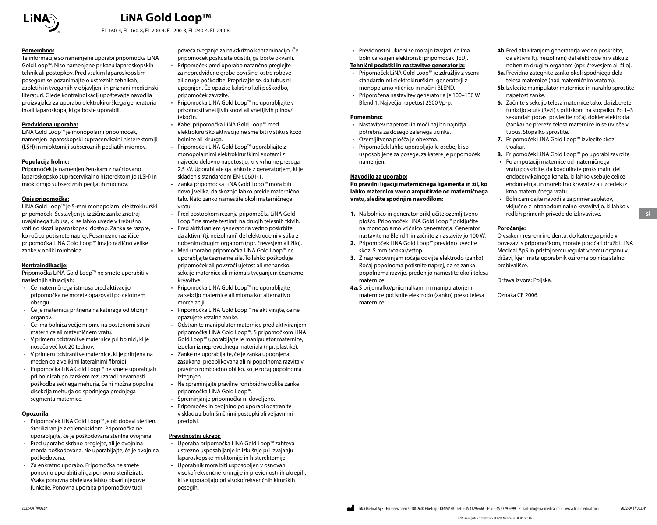

EL-160-4, EL-160-8, EL-200-4, EL-200-8, EL-240-4, EL-240-8

#### **Pomembno:**

Te informacije so namenjene uporabi pripomočka LiNA Gold Loop™. Niso namenjene prikazu laparoskopskih tehnik ali postopkov. Pred vsakim laparoskopskim posegom se pozanimajte o ustreznih tehnikah, zapletih in tveganjih v objavljeni in priznani medicinski literaturi. Glede kontraindikacij upoštevajte navodila proizvajalca za uporabo elektrokirurškega generatorja in/ali laparoskopa, ki ga boste uporabili.

#### **Predvidena uporaba:**

LiNA Gold Loop™ je monopolarni pripomoček, namenjen laparoskopski supracervikalni histerektomiji (LSH) in mioktomiji subseroznih pecljatih miomov.

#### **Populacija bolnic:**

Pripomoček je namenjen ženskam z načrtovano laparoskopsko supracervikalno histerektomijo (LSH) in mioktomijo subseroznih pecljatih miomov.

#### **Opis pripomočka:**

LiNA Gold Loop™ je 5-mm monopolarni elektrokirurški pripomoček. Sestavljen je iz žične zanke znotraj uvajalnega tubusa, ki se lahko uvede v trebušno votlino skozi laparoskopski dostop. Zanka se razpre, ko ročico potisnete naprej. Posamezne različice pripomočka LiNA Gold Loop™ imajo različno velike zanke v obliki romboida.

#### **Kontraindikacije:**

Pripomočka LiNA Gold Loop™ ne smete uporabiti v naslednjih situacijah:

- Če materničnega istmusa pred aktivacijo pripomočka ne morete opazovati po celotnem obsegu.
- Če je maternica pritrjena na katerega od bližnjih organov.
- Če ima bolnica večje miome na posteriorni strani maternice ali materničnem vratu. • V primeru odstranitve maternice pri bolnici, ki je
- noseča več kot 20 tednov.
- V primeru odstranitve maternice, ki je pritrjena na medenico z velikimi lateralnimi fibroidi.
- Pripomočka LiNA Gold Loop™ ne smete uporabljati pri bolnicah po carskem rezu zaradi nevarnosti poškodbe sečnega mehurja, če ni možna popolna disekcija mehurja od spodnjega prednjega segmenta maternice.

#### **Opozorila:**

- Pripomoček LiNA Gold Loop™ je ob dobavi sterilen. Steriliziran je z etilenoksidom. Pripomočka ne uporabljajte, če je poškodovana sterilna ovojnina.
- Pred uporabo skrbno preglejte, ali je ovojnina morda poškodovana. Ne uporabljajte, če je ovojnina poškodovana.
- Za enkratno uporabo. Pripomočka ne smete ponovno uporabiti ali ga ponovno sterilizirati. Vsaka ponovna obdelava lahko okvari njegove funkcije. Ponovna uporaba pripomočkov tudi

poveča tveganje za navzkrižno kontaminacijo. Če pripomoček poskusite očistiti, ga boste okvarili.

- Pripomoček pred uporabo natančno preglejte za nepredvidene grobe površine, ostre robove ali druge poškodbe. Prepričajte se, da tubus ni upognjen. Če opazite kakršno koli poškodbo, pripomoček zavrzite.
- Pripomočka LiNA Gold Loop™ ne uporabljajte v prisotnosti vnetljivih snovi ali vnetljivih plinov/ tekočin.
- Kabel pripomočka LiNA Gold Loop™ med elektrokirurško aktivacijo ne sme biti v stiku s kožo bolnice ali kirurga.
- Pripomoček LiNA Gold Loop™ uporabljajte z monopolarnimi elektrokirurškimi enotami z največjo delovno napetostjo, ki v vrhu ne presega 2,5 kV. Uporabljate ga lahko le z generatorjem, ki je skladen s standardom EN-60601-1.
- Zanka pripomočka LiNA Gold Loop™ mora biti dovolj velika, da skoznjo lahko preide maternično telo. Nato zanko namestite okoli materničnega vratu.
- Pred postopkom rezanja pripomočka LiNA Gold Loop™ ne smete testirati na drugih telesnih tkivih. • Pred aktiviranjem generatorja vedno poskrbite,
- da aktivni (tj. neizolirani) del elektrode ni v stiku z nobenim drugim organom (npr. črevesjem ali žilo).
- Med uporabo pripomočka LiNA Gold Loop™ ne uporabljajte čezmerne sile. To lahko poškoduje pripomoček ali povzroči ujetost ali mehansko sekcijo maternice ali mioma s tveganjem čezmerne krvavitve.
- Pripomočka LiNA Gold Loop™ ne uporabljajte za sekcijo maternice ali mioma kot alternativo morcelaciji.
- Pripomočka LiNA Gold Loop™ ne aktivirajte, če ne opazujete rezalne zanke.
- Odstranite manipulator maternice pred aktiviranjem pripomočka LiNA Gold Loop™. S pripomočkom LiNA Gold Loop™ uporabljajte le manipulator maternice, izdelan iz neprevodnega materiala (npr. plastike).
- Zanke ne uporabljajte, če je zanka upognjena, zasukana, preoblikovana ali ni popolnoma razvita v pravilno romboidno obliko, ko je ročaj popolnoma iztegnjen.
- Ne spreminjajte pravilne romboidne oblike zanke pripomočka LiNA Gold Loop™.
- Spreminjanje pripomočka ni dovoljeno.
- Pripomoček in ovojnino po uporabi odstranite v skladu z bolnišničnimi postopki ali veljavnimi predpisi.

#### **Previdnostni ukrepi:**

- Uporaba pripomočka LiNA Gold Loop™ zahteva ustrezno usposabljanje in izkušnje pri izvajanju laparoskopske mioktomije in histerektomije.
- Uporabnik mora biti usposobljen v osnovah visokofrekvenčne kirurgije in previdnostnih ukrepih, ki se uporabljajo pri visokofrekvenčnih kirurških posegih.

• Previdnostni ukrepi se morajo izvajati, če ima bolnica vsajen elektronski pripomoček (IED).

#### **Tehnični podatki in nastavitve generatorja:**

- Pripomoček LiNA Gold Loop™ je združljiv z vsemi standardnimi elektrokirurškimi generatorji z monopolarno vtičnico in načini BLEND.
- Priporočena nastavitev generatorja je 100–130 W, Blend 1. Največja napetost 2500 Vp-p.

#### **Pomembno:**

- Nastavitev napetosti in moči naj bo najnižja potrebna za dosego želenega učinka.
- Ozemljitvena plošča je obvezna.
- Pripomoček lahko uporabljajo le osebe, ki so usposobljene za posege, za katere je pripomoček namenjen.

#### **Navodilo za uporabo:**

**Po pravilni ligaciji materničnega ligamenta in žil, ko lahko maternico varno amputirate od materničnega vratu, sledite spodnjim navodilom:**

- **1.** Na bolnico in generator priključite ozemljitveno ploščo. Pripomoček LiNA Gold Loop™ priključite na monopolarno vtičnico generatorja. Generator nastavite na Blend 1 in začnite z nastavitvijo 100 W.
- **2.** Pripomoček LiNA Gold Loop™ previdno uvedite skozi 5 mm troakar/vstop.
- **3.** Z napredovanjem ročaja odvijte elektrodo (zanko). Ročaj popolnoma potisnite naprej, da se zanka popolnoma razvije, preden jo namestite okoli telesa maternice.
- **4a.**S prijemalko/prijemalkami in manipulatorjem maternice potisnite elektrodo (zanko) preko telesa maternice.

**4b.**Pred aktiviranjem generatorja vedno poskrbite, da aktivni (tj. neizolirani) del elektrode ni v stiku z nobenim drugim organom (npr. črevesjem ali žilo). **5a.**Previdno zategnite zanko okoli spodnjega dela

- telesa maternice (nad materničnim vratom).
- **5b.**Izvlecite manipulator maternice in narahlo sprostite napetost zanke.
- **6.** Začnite s sekcijo telesa maternice tako, da izberete funkcijo »cut« (Reži) s pritiskom na stopalko. Po 1–3 sekundah počasi povlecite ročaj, dokler elektroda (zanka) ne prereže telesa maternice in se uvleče v tubus. Stopalko sprostite.
- **7.** Pripomoček LiNA Gold Loop™ izvlecite skozi troakar.
- **8.** Pripomoček LiNA Gold Loop™ po uporabi zavrzite.
- Po amputaciji maternice od materničnega vratu poskrbite, da koagulirate proksimalni del endocervikalnega kanala, ki lahko vsebuje celice endometrija, in morebitno krvavitev ali izcedek iz krna materničnega vratu.
- Bolnicam dajte navodila za primer zapletov, vključno z intraabdominalno krvavitvijo, ki lahko v redkih primerih privede do izkrvavitve.

#### **Poročanje:**

O vsakem resnem incidentu, do katerega pride v povezavi s pripomočkom, morate poročati družbi LiNA Medical ApS in pristojnemu regulativnemu organu v državi, kjer imata uporabnik oziroma bolnica stalno prebivališče.

Država izvora: Poljska.

Oznaka CE 2006.

**sl**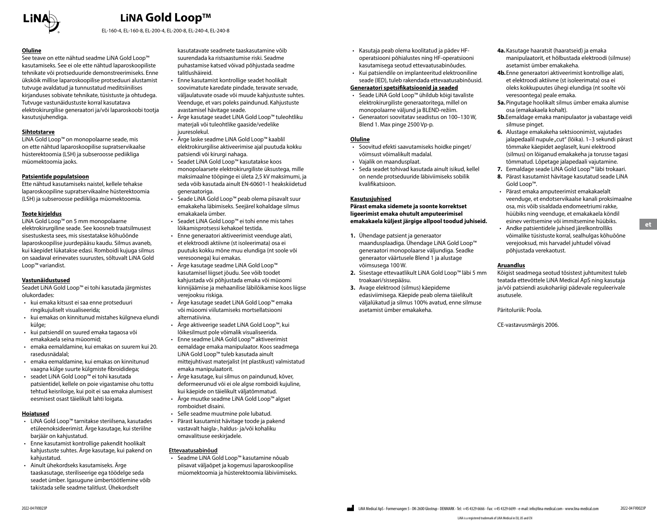

EL-160-4, EL-160-8, EL-200-4, EL-200-8, EL-240-4, EL-240-8

#### **Oluline**

See teave on ette nähtud seadme LiNA Gold Loop™ kasutamiseks. See ei ole ette nähtud laparoskoopiliste tehnikate või protseduuride demonstreerimiseks. Enne ükskõik millise laparoskoopilise protseduuri alustamist tutvuge avaldatud ja tunnustatud meditsiinilises kirjanduses sobivate tehnikate, tüsistuste ja ohtudega. Tutvuge vastunäidustuste korral kasutatava elektrokirurgilise generaatori ja/või laparoskoobi tootja kasutusjuhendiga.

#### **Sihtotstarve**

LiNA Gold Loop™ on monopolaarne seade, mis on ette nähtud laparoskoopilise supratservikaalse hüsterektoomia (LSH) ja subseroosse pediikliga müomektoomia jaoks.

#### **Patsientide populatsioon**

Ette nähtud kasutamiseks naistel, kellele tehakse laparoskoopiline supratservikaalne hüsterektoomia (LSH) ja subseroosse pediikliga müomektoomia.

#### **Toote kirjeldus**

LiNA Gold Loop™ on 5 mm monopolaarne elektrokirurgiline seade. See koosneb traatsilmusest sisestuskesta sees, mis sisestatakse kõhuõõnde laparoskoopilise juurdepääsu kaudu. Silmus avaneb, kui käepidet lükatakse edasi. Romboidi kujuga silmus on saadaval erinevates suurustes, sõltuvalt LiNA Gold Loop™ variandist.

#### **Vastunäidustused**

Seadet LiNA Gold Loop™ ei tohi kasutada järgmistes olukordades:

- kui emaka kitsust ei saa enne protseduuri ringikujuliselt visualiseerida;
- kui emakas on kinnitunud mistahes külgneva elundi külge;
- kui patsiendil on suured emaka tagaosa või emakakaela seina müoomid;
- emaka eemaldamine, kui emakas on suurem kui 20. rasedusnädalal;
- emaka eemaldamine, kui emakas on kinnitunud vaagna külge suurte külgmiste fibroididega;
- seadet LiNA Gold Loop™ ei tohi kasutada patsientidel, kellele on poie vigastamise ohu tottu tehtud keisriloige, kui poit ei saa emaka alumisest eesmisest osast täielikult lahti loigata.

#### **Hoiatused**

- LiNA Gold Loop™ tarnitakse steriilsena, kasutades etüleenoksideerimist. Ärge kasutage, kui steriilne barjäär on kahjustatud.
- Enne kasutamist kontrollige pakendit hoolikalt kahjustuste suhtes. Ärge kasutage, kui pakend on kahiustatud.
- Ainult ühekordseks kasutamiseks. Ärge taaskasutage, steriliseerige ega töödelge seda seadet ümber. Igasugune ümbertöötlemine võib takistada selle seadme talitlust. Ühekordselt

kasutatavate seadmete taaskasutamine võib suurendada ka ristsaastumise riski. Seadme puhastamise katsed võivad põhjustada seadme talitlushäireid.

- Enne kasutamist kontrollige seadet hoolikalt soovimatute karedate pindade, teravate servade, väljaulatuvate osade või muude kahjustuste suhtes. Veenduge, et vars poleks paindunud. Kahjustuste avastamisel hävitage seade.
- Ärge kasutage seadet LiNA Gold Loop™ tuleohtliku materjali või tuleohtlike gaaside/vedelike juuresolekul.
- Ärge laske seadme LiNA Gold Loop™ kaablil elektrokirurgilise aktiveerimise ajal puutuda kokku patsiendi või kirurgi nahaga.
- Seadet LiNA Gold Loop™ kasutatakse koos monopolaarsete elektrokirurgiliste üksustega, mille maksimaalne tööpinge ei ületa 2,5 kV maksimumi, ja seda võib kasutada ainult EN-60601-1 heakskiidetud generaatoriga.
- Seade LiNA Gold Loop™ peab olema piisavalt suur emakakeha läbimiseks. Seejärel kohaldage silmus emakakaela ümber.
- Seadet LiNA Gold Loop™ ei tohi enne mis tahes lõikamisprotsessi kehakoel testida.
- Enne generaatori aktiveerimist veenduge alati, et elektroodi aktiivne (st isoleerimata) osa ei puutuks kokku mõne muu elundiga (nt soole või veresoonega) kui emakas.
- Ärge kasutage seadme LiNA Gold Loop™ kasutamisel liigset jõudu. See võib toodet kahjustada või põhjustada emaka või müoomi kinnijäämise ja mehaanilise läbilõikamise koos liigse verejooksu riskiga.
- Ärge kasutage seadet LiNA Gold Loop™ emaka või müoomi viilutamiseks mortsellatsiooni alternatiivina.
- Ärge aktiveerige seadet LiNA Gold Loop™, kui lõikesilmust pole võimalik visualiseerida.
- Enne seadme LiNA Gold Loop™ aktiveerimist eemaldage emaka manipulaator. Koos seadmega LiNA Gold Loop™ tuleb kasutada ainult mittejuhtivast materjalist (nt plastikust) valmistatud emaka manipulaatorit.
- Ärge kasutage, kui silmus on paindunud, kõver, deformeerunud või ei ole algse romboidi kujuline, kui käepide on täielikult väljatõmmatud.
- Ärge muutke seadme LiNA Gold Loop™ algset romboidset disaini.
- Selle seadme muutmine pole lubatud.
- Pärast kasutamist hävitage toode ja pakend vastavalt haigla-, haldus- ja/või kohaliku omavalitsuse eeskirjadele.

#### **Ettevaatusabinõud**

• Seadme LiNA Gold Loop™ kasutamine nõuab piisavat väljaõpet ja kogemusi laparoskoopilise müomektoomia ja hüsterektoomia läbiviimiseks.

- Kasutaja peab olema koolitatud ja pädev HFoperatsiooni põhialustes ning HF-operatsiooni kasutamisega seotud ettevaatusabinõudes.
- Kui patsiendile on implanteeritud elektrooniline seade (IED), tuleb rakendada ettevaatusabinõusid.

#### **Generaatori spetsifikatsioonid ja seaded**

- Seade LiNA Gold Loop™ ühildub kõigi tavaliste elektrokirurgiliste generaatoritega, millel on monopolaarne väljund ja BLEND-režiim.
- Generaatori soovitatav seadistus on 100–130 W, Blend 1. Max pinge 2500 Vp-p.

#### **Oluline**

- Soovitud efekti saavutamiseks hoidke pinget/ võimsust võimalikult madalal.
- Vajalik on maandusplaat.
- Seda seadet tohivad kasutada ainult isikud, kellel on nende protseduuride läbiviimiseks sobilik kvalifikatsioon.

#### **Kasutusjuhised**

**Pärast emaka sidemete ja soonte korrektset ligeerimist emaka ohutult amputeerimisel emakakaela küljest järgige allpool toodud juhiseid.**

- **1.** Ühendage patsient ja generaator maandusplaadiga. Ühendage LiNA Gold Loop™ generaatori monopolaarse väljundiga. Seadke generaator väärtusele Blend 1 ja alustage võimsusega 100 W.
- **2.** Sisestage ettevaatlikult LiNA Gold Loop™ läbi 5 mm troakaari/sissepääsu.
- **3.** Avage elektrood (silmus) käepideme edasiviimisega. Käepide peab olema täielikult väljalükatud ja silmus 100% avatud, enne silmuse asetamist ümber emakakeha.
- **4a.**Kasutage haaratsit (haaratseid) ja emaka manipulaatorit, et hõlbustada elektroodi (silmuse) asetamist ümber emakakeha.
- **4b.**Enne generaatori aktiveerimist kontrollige alati, et elektroodi aktiivne (st isoleerimata) osa ei oleks kokkupuutes ühegi elundiga (nt soolte või veresoontega) peale emaka.
- **5a.**Pingutage hoolikalt silmus ümber emaka alumise osa (emakakaela kohalt).
- **5b.**Eemaldage emaka manipulaator ja vabastage veidi silmuse pinget.
- **6.** Alustage emakakeha sektsioonimist, vajutades jalapedaalil nupule "cut" (lõika). 1–3 sekundi pärast tõmmake käepidet aeglaselt, kuni elektrood (silmus) on lõiganud emakakeha ja torusse tagasi tõmmatud. Lõpetage jalapedaali vajutamine.
- **7.** Eemaldage seade LiNA Gold Loop™ läbi trokaari.
- **8.** Pärast kasutamist hävitage kasutatud seade LiNA Gold Loop™.
- Pärast emaka amputeerimist emakakaelalt veenduge, et endotservikaalse kanali proksimaalne osa, mis võib sisaldada endomeetriumi rakke, hüübiks ning veenduge, et emakakaela köndil esinev veritsemine või immitsemine hüübiks.
- Andke patsientidele juhised järelkontrolliks võimalike tüsistuste korral, sealhulgas kõhuõõne verejooksud, mis harvadel juhtudel võivad põhjustada verekaotust.

#### **Aruandlus**

Kõigist seadmega seotud tõsistest juhtumitest tuleb teatada ettevõttele LiNA Medical ApS ning kasutaja ja/või patsiendi asukohariigi pädevale reguleerivale asutusele.

Päritoluriik: Poola.

CE-vastavusmärgis 2006.

**et**